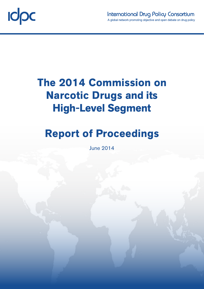

# **The 2014 Commission on Narcotic Drugs and its High-Level Segment**

## **Report of Proceedings**

June 2014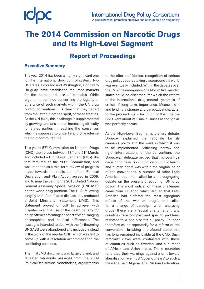## **The 2014 Commission on Narcotic Drugs and its High-Level Segment**

## **Report of Proceedings**

## **Executive Summary**

The year 2014 has been a highly significant one for the international drug control system. Two US states, Colorado and Washington, along with Uruguay, have established regulated markets for the recreational use of cannabis. While arguments continue concerning the legality or otherwise of such markets within the UN drug control conventions, it is clear that they depart from the letter, if not the spirit, of these treaties. At the UN level, this challenge is supplemented by growing tensions and an increasing difficulty for states parties in reaching the consensus which is supposed to underlie and characterise the drug control regime.

This year's 57<sup>th</sup> Commission on Narcotic Drugs (CND) took place between 13<sup>th</sup> and 21<sup>st</sup> March, and included a High-Level Segment (HLS) like that featured at the 2009 Commission, and was intended as a mid-term review of progress made towards the realisation of the Political Declaration and Plan Action agreed in 2009, and to map the path to the 2016 United Nations General Assembly Special Session (UNGASS) on the world drug problem. The HLS, following lengthy and often heated discussions, produced a Joint Ministerial Statement (JMS). This statement proved difficult to achieve, with disputes over the use of the death penalty for drugs offences forming the heart of wide-ranging philosophical and political differences. The passages intended to deal with the forthcoming UNGASS were abandoned and included instead in the work of the regular CND, which was left to come up with a resolution accommodating the conflicting positions.

The final JMS document was largely bland, and repeated wholesale passages from the 2009 Political Declaration. Nonetheless, largely thanks to the efforts of Mexico, recognition of serious drug policy debates taking place around the world was eventually included. Within the debates over the JMS, the emergence of a bloc of like-minded states could be discerned, for which the reform of the international drug control system is of critical, if long-term, importance. Meanwhile – and lending a strange and paradoxical character to the proceedings – for much of the time the CND went about its usual business as though all was perfectly normal.

At the High-Level Segment's plenary debate, Uruguay explained the rationale for its cannabis policy and the ways in which it was to be implemented. Criticising 'narrow and rigid' interpretations of the conventions, the Uruguayan delegate argued that his country's decision to base its drug policy on public health and human rights was within the original spirit of the conventions. A number of other Latin American countries called for a thoroughgoing debate on the present direction of UN drug policy. The most radical of these challenges came from Ecuador, which argued that Latin America had suffered the most egregious effects of the 'war on drugs', and called for a change of paradigm when analysing drugs; these are a 'social phenomenon', and countries face complex and specific problems resistant to a one-size-fits-all policy. Ecuador therefore called repeatedly for a reform of the conventions, breaking a profound taboo that has long remained inviolable at the CND. Such reformist views were contrasted with those of countries such as Sweden, and a number of African and Asian states. These countries reiterated their warnings against a drift toward liberalisation; we must 'cover our ears' to such a message, said Algeria. The Russian Federation,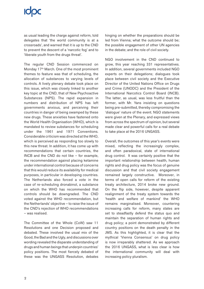# **ICOC**

as usual leading the charge against reform, told delegates that 'the world community is at a crossroads', and warned that it is up to the CND to prevent the descent of a 'narcotic fog' and to 'liberate youth from the drugs threat'.

The regular CND Session commenced on Monday 17<sup>th</sup> March. One of the most prominent themes to feature was that of scheduling, the allocation of substances to varying levels of controls. A lively plenary debate took place on this issue, which was closely linked to another key topic at the CND, that of New Psychoactive Substances (NPS). The rapid expansion in numbers and distribution of NPS has left governments anxious, and perceiving their countries in danger of being swamped by these new drugs. These anxieties have fastened onto the World Health Organisation (WHO), which is mandated to review substances for scheduling under the 1961 and 1971 Conventions. Considerable criticism was directed at the WHO, which is perceived as responding too slowly to this new threat. In addition, it has come up with recommendations that certain countries, the INCB and the CND do not like – for example, the recommendation against placing ketamine under international control because of concerns that this would reduce its availability for medical purposes, in particular in developing countries. The Netherlands also forced a vote in the case of re-scheduling dronabinol, a substance on which the WHO has recommended that controls should be downgraded. The CND voted against the WHO recommendation, but the Netherlands' objective – to raise the issue of the CND's rejection of WHO recommendations – was realised.

The Committee of the Whole (CoW) saw 11 Resolutions and one Decision proposed and debated. These involved the usual mix of the Good, the Bad and the Ugly, and discussions over wording revealed the disparate understanding of drugs and human beings that underpin countries' policy positions. The most fiercely debated of these was the UNGASS Resolution, debates

hinging on whether the preparations should be led from Vienna; what the outcome should be; the possible engagement of other UN agencies in the debate; and the role of civil society.

NGO involvement in the CND continued to grow, this year reaching 331 representatives. In addition, several governments included NGO experts on their delegations; dialogues took place between civil society and the Executive Director of the United Nations Office on Drugs and Crime (UNODC) and the President of the International Narcotics Control Board (INCB). The latter, as usual, was less fruitful than the former, with Mr. Yans insisting on questions being pre-submitted, thereby compromising the 'dialogue' nature of the event. NGO statements were given at the Plenary, and expressed views from across the spectrum of opinion, but several made clear and powerful calls for a real debate to take place at the 2016 UNGASS.

Overall, the outcomes of this year's events were mixed, reflecting the increasingly complex, and often paradoxical, state of international drug control. It was certainly positive that the important relationship between health, human rights and drug policy was the focus of genuine discussion and that civil society engagement remained largely constructive. Moreover, in terms of open calls for reform of the existing treaty architecture, 2014 broke new ground. On the flip side, however, despite apparent realignment of the treaty system towards the 'health and welfare of mankind' the WHO remains marginalised. Moreover, countering increasing calls for reform, many states are set to steadfastly defend the status quo and maintain the separation of human rights and drug policy; a point demonstrated by different country positions on the death penalty in the JMS. As this highlighted, it is clear that the mythical 'Vienna Consensus' on drug policy is now irreparably shattered. As we approach the 2016 UNGASS, what is less clear is how the international community will deal with increasing policy pluralism.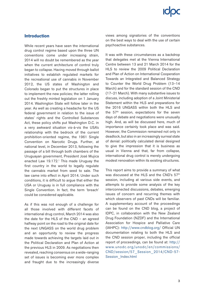## **Introduction**

While recent years have seen the international drug control regime based upon the three UN conventions come under increasing strain, 2014 will no doubt be remembered as the year when the current architecture of control truly began to collapse. Having moved through ballot initiatives to establish regulated markets for the recreational use of cannabis in November 2012, the US states of Washington and Colorado began to put the structures in place to implement the new policies; the latter rolling out the freshly minted legislation on 1 January 2014. Washington State will follow later in the year. As well as creating a headache for the US federal government in relation to the issue of states' rights and the Controlled Substances Act, these policy shifts put Washington D.C. in a very awkward situation vis-à-vis the USA's relationship with the bedrock of the current prohibition-oriented regime, the 1961 Single Convention on Narcotic Drugs. Further, at national level, in December 2013, following the passage of a bill through both chambers of the Uruguayan government, President José Mujica enacted Law 19.172.<sup>1</sup> This made Uruguay the first country in the world to legally regulate the cannabis market from seed to sale. The law came into effect in April 2014. Under such conditions, it is difficult to argue that either the USA or Uruguay is in full compliance with the Single Convention. In fact, the term 'breach' could be considered applicable.

As if this was not enough of a challenge for all those involved with different facets of international drug control, March 2014 was also the date for the HLS of the CND – an agreed halfway point on the road to the original date for the next UNGASS on the world drug problem and an opportunity to review the progress made towards achieving the targets laid out in the Political Declaration and Plan of Action at the previous HLS in 2009. As negotiations then revealed, reaching consensus on a wide-ranging set of issues is becoming ever more complex and fraught due to the increasingly diverse views among signatories of the conventions on the best ways to deal with the use of certain psychoactive substances.

It was with these circumstances as a backdrop that delegates met at the Vienna International Centre between 13 and 21 March 2014 for the HLS to review the 2009 Political Declaration and Plan of Action on International Cooperation Towards an Integrated and Balanced Strategy to Counter the World Drug Problem (13–14 March) and for the standard session of the CND (17–21 March). With many substantive issues to discuss, including adoption of a Joint Ministerial Statement within the HLS and preparations for the 2016 UNGASS within both the HLS and the  $57<sup>th</sup>$  session, expectations for the seven days of debate and negotiations were unusually high. And, as will be discussed here, much of importance certainly took place and was said. However, the Commission remained not only in deadlock, but also in an increasingly surreal state of denial: politically calculated denial designed to give the impression that it is business as usual in Vienna and that, far from collapse, international drug control is merely undergoing modest renovation within its existing structures.

This report aims to provide a summary of what was discussed at the HLS and the CND's 57<sup>th</sup> session, including at various side events, and attempts to provide some analysis of the key interconnected discussions, debates, emerging issues of concern and recurring themes with which observers of past CNDs will be familiar. A supplementary account of the proceedings can be found on the CND blog, a project of IDPC, in collaboration with the New Zealand Drug Foundation (NZDF) and the International Association for Hospice and Palliative Care (IAHPC): <http://www.cndblog.org/>Official UN documentation relating to both the HLS and the CND session proper, including the official report of proceedings, can be found at: [http://](http://www.unodc.org/unodc/en/commissions/CND/session/57_Session_2014/CND-57-Session_Index.html) [www.unodc.org/unodc/en/commissions/](http://www.unodc.org/unodc/en/commissions/CND/session/57_Session_2014/CND-57-Session_Index.html) [CND/session/57\\_Session\\_2014/CND-57-](http://www.unodc.org/unodc/en/commissions/CND/session/57_Session_2014/CND-57-Session_Index.html) [Session\\_Index.html](http://www.unodc.org/unodc/en/commissions/CND/session/57_Session_2014/CND-57-Session_Index.html)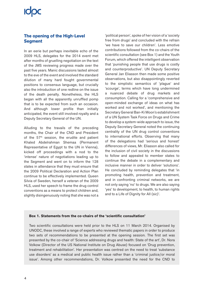## **IODC**

## **The opening of the High-Level Segment**

In an eerie but perhaps inevitable echo of the 2009 HLS, delegates for the 2014 event met after months of gruelling negotiation on the text of the JMS reviewing progress made over the past five years. Manic discussions lasted almost to the eve of the event and involved the standard dilution of many hard fought governmental positions to consensus language, but crucially also the introduction of one redline on the issue of the death penalty. Nonetheless, the HLS began with all the apparently unruffled pomp that is to be expected from such an occasion. And although lower profile than initially anticipated, the event still involved royalty and a Deputy Secretary General of the UN.

Alluding to the travails of the preceding months, the Chair of the CND and President of the  $57<sup>th</sup>$  session, the erudite and patient Khaled Abdelrahman Shemaa (Permanent Representative of Egypt to the UN in Vienna), kicked off proceedings with a nod to the 'intense' nature of negotiations leading up to the Segment and went on to inform the 128 states in attendance that they must ensure that the 2009 Political Declaration and Action Plan continue to be effectively implemented. Queen Silvia of Sweden, herself a veteran of the 2009 HLS, used her speech to frame the drug control conventions as a means to protect children and, slightly disingenuously noting that she was not a

'political person', spoke of her vision of a 'society free from drugs' and concluded with the refrain 'we have to save our children'. Less emotive contributions followed from the co-chairs of the scientific consultation (see Box 1) and the Youth Forum, which offered the intelligent observation that 'punishing people that use drugs is costly and counterproductive'. UN Deputy Secretary General Jan Eliasson then made some positive observations, but also disappointingly reverted to the simplistic semantics of 'plague' and 'scourge', terms which have long undermined a nuanced debate of drug markets and consumption. Calling for a 'comprehensive and open-minded exchange of ideas on what has worked and not worked', and mentioning the Secretary General Ban-Ki Moon's establishment of a UN System Task Force on Drugs and Crime to develop a system-wide approach to issue, the Deputy Secretary General noted the continuing centrality of the UN drug control conventions to international efforts. Observing that many of the delegations had 'serious and honest' differences of views, Mr. Eliasson also called for the inclusion of civil society in the discussions to follow and appealed to member states to continue the debate in a complementary and inclusive manner in order to deliver 'solutions'. He concluded by reminding delegates that 'in promoting health, prevention and treatment, and in confronting criminal networks, we are not only saying 'no' to drugs. We are also saying 'yes' to development, to health, to human rights and to a Life of Dignity for All (sic)'.

### **Box 1. Statements from the co-chairs of the 'scientific consultation'**

Two scientific consultations were held prior to the HLS on 11 March 2014. Organised by UNODC, these involved a range of experts who reviewed thematic papers in order to produce two sets of recommendations to be presented at the opening session. The first set was presented by the co-chair of 'Science addressing drugs and health: State of the art', Dr. Nora Volkow (Director of the US National Institute on Drug Abuse) focused on 'Drug prevention, treatment and rehabilitation'. Her presentation was centred on the need to treat 'substance use disorders' as a medical and public health issue rather than a 'criminal justice/or moral issue'. Among other recommendations, Dr. Volkow presented the need for the CND to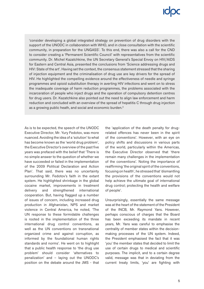'consider developing a global integrated strategy on prevention of drug disorders with the support of the UNODC in collaboration with WHO, and in close consultation with the scientific community, in preparation for the UNGASS'. To this end, there was also a call for the CND to consider creating a 'Permanent Scientific Council' with representatives from the scientific community. Dr. Michel Kazatchkine, the UN Secretary General's Special Envoy on HIV/AIDS for Eastern and Central Asia, presented the conclusions from 'Science addressing drugs and HIV: State of the art'. Having set the context, the consensus statement stressed that the sharing of injection equipment and the criminalisation of drug use are key drivers for the spread of HIV. He highlighted the compelling evidence around the effectiveness of needle and syringe programmes and opioid substitution therapy in averting HIV infections and went on to stress the inadequate coverage of harm reduction programmes, the problems associated with the incarceration of people who inject drugs and the operation of compulsory detention centres for drug users. Dr. Kazatchkine also pointed out the need to align law enforcement and harm reduction and concluded with an overview of the spread of hepatitis C through drug injection as a growing public heath, and social and economic burden.2

As is to be expected, the speech of the UNODC Executive Director, Mr. Yury Fedotov, was more nuanced. Avoiding the idea of a 'solution' to what has become known as the 'world drug problem', the Executive Director's overview of the past five years was prefaced with the belief that 'There is no simple answer to the question of whether we have succeeded or failed in the implementation of the 2009 Political Declaration and Action Plan'. That said, there was no uncertainty surrounding Mr. Fedotov's faith in the extant system. He highlighted shrinkage in the global cocaine market, improvements in treatment delivery and strengthened international cooperation. But, having flagged up a number of issues of concern, including increased drug production in Afghanistan, NPS and market violence in Central America, he noted, 'The UN response to these formidable challenges is rooted in the implementation of the three international drug control conventions, as well as the UN conventions on transnational organized crime and against corruption, as informed by the foundational human rights standards and norms'. He went on to highlight that a public health response to 'the drug use problem' should consider 'alternatives to penalization' and – laying out the UNODC's position on the debate around the JMS - that the 'application of the death penalty for drugrelated offences has never been in the spirit of the conventions'. However, with an eye on policy shifts and discussions in various parts of the world, particularly within the Americas, the Executive Director observed that 'there remain many challenges in the implementation of the conventions'. Noting the importance of reaffirming 'the original spirit of the conventions, focusing on health', he stressed that 'dismantling the provisions of the conventions would not help achieve the ultimate goal of international drug control; protecting the health and welfare of people'.

Unsurprisingly, essentially the same message was at the heart of the statement of the President of the INCB, Mr. Raymond Yans. However, perhaps conscious of charges that the Board has been exceeding its mandate in recent years, Mr. Yans was careful to emphasise the centrality of member states within the decisionmaking processes of the UN system. Indeed, the President emphasised the fact that it was 'you' the member states that decided to limit the use of certain drugs to medical and scientific purposes. The implicit, and to a certain degree valid, message was that in deviating from the current treaty limits, 'you' are fighting with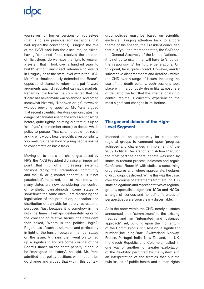# **ICOC**

yourselves, or former versions of yourselves (that is to say previous administrations that had signed the conventions). Bringing the role of the INCB back into the discourse, he asked, having 'contained if not resolved the problem of illicit drugs' do we have the right to weaken a system that it took over a hundred years to build? Without any direct reference to events in Uruguay or at the state level within the USA, Mr. Yans simultaneously defended the Board's oppositional stance to reform and put forward arguments against regulated cannabis markets. Regarding the former, he commented that the 'Board has never made war on anyone' and noted somewhat bizarrely, 'Not even drugs'. However, without providing specifics, Mr. Yans argued that recent scientific literature demonstrates the danger of cannabis use to the adolescent psyche before, quite rightly, pointing out that it is up to 'all of you' (the member states) to decide which policy to pursue. That said, he could not resist asking who would bear the political responsibility for creating a 'generation of young people unable to concentrate on basic tasks'.

Moving on to stress the challenges posed by NPS, the INCB President did, raise an important point that highlights increasing systemic tensions facing the international community and the UN drug control apparatus. 'Is it not paradoxical', he asked, that at the time when many states are now considering the control of synthetic cannabinoids, some states – sometimes the same ones – are discussing the legalisation of the production, cultivation and distribution of cannabis for purely recreational purposes, 'just because it is somehow in line with the times'. Perhaps deliberately ignoring the concept of relative harms, the President then asked, 'Where is the political logic?' Regardless of such puzzlement, and particularly in light of the tension between member states on the issue, Mr. Yans then went on to flag up a significant and welcome change of the Board's stance on the death penalty. It should be 'consigned to history', he said. Mr. Yans admitted that policy positions within countries do change and argued that within this context

drug policies must be based on scientific evidence. Bringing attention back to a core theme of his speech, the President concluded that it is 'you, the member states, the CND and the General Assembly of the United Nations… it is not up to us…', that will have to 'shoulder the responsibility' for future generations. On this point, he is quite correct. However, amidst substantive disagreements and deadlock within the CND over a range of issues, including the use of the death penalty, both sessions took place within a curiously dreamlike atmosphere of denial to the fact that the international drug control regime is currently experiencing the most significant changes in its lifetime.

## **The general debate of the High-Level Segment**

Intended as an opportunity for states and regional groups to comment upon 'progress achieved and challenges in implementing' the 2009 Political Declaration and Action Plan, for the most part the general debate was used by states to recount process indicators and regale Conference Room M with statistics concerning drug seizures and, where appropriate, hectares of drug crops destroyed. While this was the case, over the course of statements from around 106 state delegations and representatives of regional groups, specialised agencies, IGOs and NGOs, a range of 'serious and honest' differences of perspectives were soon clearly discernable.

As is the norm within the CND, nearly all states announced their 'commitment' to the existing treaties and an 'integrated and balanced approach'. Yet, building upon the momentum of the Commission's 56<sup>th</sup> session, a significant number (including Brazil, Switzerland, Norway, France, Portugal, India, New Zealand, the UK, the Czech Republic and Colombia) called in one way or another for greater exploitation of the flexibility permitted by the system and an interpretation of the treaties that put the twin issues of public health and human rights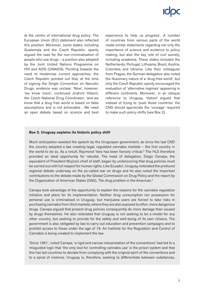at the centre of international drug policy. The European Union (EU) statement also reflected this position. Moreover, some states, including Guatemala and the Czech Republic, openly argued the case for the non-criminalisation of people who use drugs – a position also adopted by the Joint United Nations Programme on HIV and AIDS (UNAIDS). Pointing towards the need to modernise current approaches, the Czech Republic pointed out that, at the time of signing the Single Convention on Narcotic Drugs, evidence was unclear. 'Now', however, 'we know more', continued Jindrich Voboril, the Czech National Drug Coordinator, 'and we know that a drug free world is based on false assumptions and is not achievable…We need an open debate based on science and best experience to help us progress'. A number of countries from various parts of the world made similar statements regarding not only the importance of science and evidence to policy making, but also the key role of civil society, including academia. These states included the Netherlands, Portugal, Lithuania, Brazil, Austria, Colombia and Ukraine. Like their colleagues from Prague, the German delegation also noted the illusionary nature of a 'drug-free world', but only the Czech Republic openly encouraged the evaluation of 'alternative regimes' appearing in different continents. Moreover, in an oblique reference to Uruguay, Voboril argued that instead of trying to 'push those countries' the CND should appreciate the 'courage' required to make such policy shifts (see Box 2).

### **Box 2. Uruguay explains its historic policy shift**<sup>∗</sup>

Much anticipation awaited the speech by the Uruguayan government, as since the last CND the country adopted a law creating legal, regulated cannabis markets – the first country in the world to do so. As a result, Raymond Yans has been fiercely critical.3 The HLS therefore provided an ideal opportunity for rebuttal. The head of delegation, Diego Canepa, the equivalent of President Mujica's chief of staff, began by underscoring that drug policies must be carried out with full respect for human rights. Like Ecuador, Uruguay reiterated the profound regional debate underway on the so-called war on drugs and he also noted the important contributions to the debate made by the Global Commission on Drug Policy and the report by the Organization of American States (OAS), *The drug problem in the Americas*. 4

Canepa took advantage of the opportunity to explain the reasons for the cannabis regulation initiative and plans for its implementation. Neither drug consumption nor possession for personal use is criminalised in Uruguay, but marijuana users are forced to take risks in purchasing cannabis from illicit markets, where they are also exposed to other, more dangerous drugs. Canepa argued that present drug policies consequently do more damage than caused by drugs themselves. He also reiterated that Uruguay is not seeking to be a model for any other country, but seeking to provide for the safety and well-being of its own citizens. The government is also obligated by law to carry out education and prevention campaigns and to prohibit access to those under the age of 18. An Institute for the Regulation and Control of Cannabis is being created to implement the law.

'Since 1961', noted Canepa, 'a rigid and narrow interpretation of the conventions' had led to a misguided logic that 'the only tool for controlling cannabis use' is the prison system and that this has led countries to deviate from complying with the original spirit of the conventions and to a spiral of violence. Uruguay is, therefore, seeking to differentiate between substances,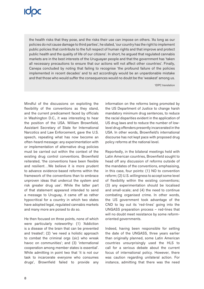the health risks that they pose, and the risks their use can impose on others. 'As long as our policies do not cause damage to third parties', he stated, 'our country has the right to implement public policies that contribute to the full respect of human rights and that improve and protect public health and the quality of life of our citizens'. In short, he argued that regulated cannabis markets are in the best interests of the Uruguayan people and that the government has 'taken all necessary precautions to ensure that our actions will not affect other countries'. Finally, Canepa concluded by noting that failing to recognise 'the profound failure of the policies implemented in recent decades' and to act accordingly would be an unpardonable mistake and that those who would suffer the consequences would no doubt be the 'weakest' among us.

∗ IDPC translation

Mindful of the discussions on exploiting the flexibility of the conventions as they stand, and the current predicament faced by officials in Washington D.C., it was interesting to hear the position of the USA. William Brownfield, Assistant Secretary of State for International Narcotics and Law Enforcement, gave the U.S. speech, repeating what has now become an often-heard message: any experimentation with or implementation of alternative drug policies must be carried out within the context of the existing drug control conventions. Brownfield reiterated, 'the conventions have been flexible and resilient…We believe it is more prudent to advance evidence-based reforms within the framework of the conventions than to embrace unproven ideas that undercut the system and risk greater drug use'. While the latter part of that statement appeared intended to send a message to Uruguay, it came off as rather hypocritical for a country in which two states have adopted legal, regulated cannabis markets and many more are poised to do so.

He then focused on three points, none of which were particularly noteworthy: (1) 'Addiction is a disease of the brain that can be prevented and treated'; (2) 'we need a holistic approach to combat the criminal orgs (sic) who wreak havoc on communities'; and (3) 'international cooperation among member states is essential'. While admitting in point two that 'it is not our task to incarcerate everyone who consumes drugs', Brownfield failed to provide any information on the reforms being promoted by the US Department of Justice to change harsh mandatory minimum drug sentences, to reduce the racial disparities evident in the application of US drug laws and to reduce the number of lowlevel drug offenders presently incarcerated in the USA. In other words, Brownfield's international discourse has not kept pace with proposed drug policy reforms at the national level.

Reportedly, in the bilateral meetings held with Latin American countries, Brownfield sought to head off any discussion of reforms outside of the mandates of the conventions, emphasising, in this case, four points: (1) NO to convention reform; (2) U.S. willingness to accept some level of flexibility within the existing conventions; (3) any experimentation should be localised and small-scale; and (4) the need to continue combating organised crime. In other words, the US government took advantage of the CND to lay out its 'red-lines' going into the UNGASS preparation process – red-lines that will no doubt meet resistance by some reformoriented governments.

Indeed, having been responsible for setting the date of the UNGASS, three years earlier than originally planned, some Latin American countries unsurprisingly used the HLS to call for a serious debate about the current focus of international policy. However, there was caution regarding unilateral action. For instance, admitting that there was the need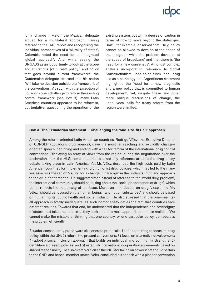for a 'change in vision' the Mexican delegate argued for a multilateral approach. Having referred to the OAS report and recognising the individual perspectives of a 'plurality of states', Colombia noted the need for an integrated 'global approach'. And while seeing the UNGASS as an 'opportunity to look at the scope and limitations [of current policy,] and policy that goes beyond current frameworks' the Guatemalan delegate stressed that his nation 'Will take no decision outside the framework of the conventions'. As such, with the exception of Ecuador's open challenge to reform the existing control framework (see Box 3), many Latin American countries appeared to be reformist, but tentative; questioning the operation of the existing system, but with a degree of caution in terms of how to move beyond the status quo. Brazil, for example, observed that 'Drug policy cannot be allowed to develop at the speed of the telegraph while the problem develops at the speed of broadband' and that there is 'the need for a new consensus'. Amongst complex analysis incorporating reference to Social Constructionism, neo-colonialism and drug use as a pathology, the Argentinean statement highlighted the 'need for a new diagnostic and a new policy that is committed to human development'. Yet, despite these and other more oblique discussions of change, the unequivocal calls for treaty reform from the region were limited.

### **Box 3. The Ecuadorian statement – Challenging the 'one-size-fits-all' approach**<sup>∗</sup>

Among the reform-oriented Latin American countries, Rodrigo Vélez, the Executive Director of CONSEP (Ecuador's drug agency), gave the most far reaching and explicitly change– oriented speech, beginning and ending with a call for reform of the international drug control conventions. Displaying an array of views from the region, during the negotiations over the declaration from the HLS, some countries blocked any reference at all to the drug policy debate taking place in Latin America. Yet Mr. Vélez described the high costs paid by Latin American countries for implementing prohibitionist drug policies, which has led to the many voices across the region 'calling for a change in paradigm in the understanding and approach to the drug phenomenon'. He suggested that instead of referring to the 'world drug problem', the international community should be talking about the 'social phenomenon of drugs', which better reflects the complexity of the issue. Moreover, 'the debate on drugs', explained Mr. Vélez, 'should be focused on the human being…and not on substances', and should be based on human rights, public health and social inclusion. He also stressed that the one-size-fitsall approach is totally inadequate, as such homogeneity defies the fact that countries face different realities. Towards that end, he underscored that the independence and sovereignty of states must take precedence as they seek solutions most appropriate to those realities: 'We cannot make the mistake of thinking that one country, or one particular policy, can address the problem efficiently'.

Ecuador consequently put forward six concrete proposals: 1) adopt an integral focus on drug policy within the UN; 2) reform the present conventions; 3) focus on alternative development; 4) adopt a social inclusion approach that builds on individual and community strengths; 5) demilitarise present policies; and 6) establish international cooperation agreements based on shared responsibility. He also directly criticized the INCB for taking on powers that should pertain to the CND, and hence, member states. Vélez concluded his speech with a plea for convention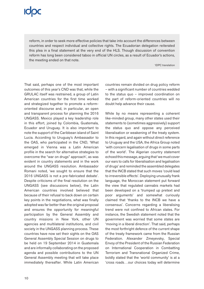reform, in order to seek more effective policies that take into account the differences between countries and respect individual and collective rights. The Ecuadorian delegation reiterated this plea in a final statement at the very end of the HLS. Though discussion of convention reform has long been considered taboo in official UN circles, as a result of Ecuador's actions, the meeting ended on that note.

∗ IDPC translation

That said, perhaps one of the most important outcomes of this year's CND was that, while the GRULAC itself was restrained, a group of Latin American countries for the first time worked and strategized together to promote a reformoriented discourse and, in particular, an open and transparent process for planning the 2016 UNGASS. Mexico played a key leadership role in this effort, joined by Colombia, Guatemala, Ecuador and Uruguay. It is also important to note the support of the Caribbean island of Saint Lucia. According to Uruguay's Ambassador to the OAS, who participated in the CND, 'What emerged in Vienna was a Latin American profile in the search for alternative strategies to overcome the "war on drugs" approach', as was evident in country statements and in the work around the UNGASS resolution. Ambassador Romani noted, 'we sought to ensure that the 2016 UNGASS is not a pre-fabricated debate'. Despite criticisms of the final resolution on the UNGASS (see discussions below), the Latin American countries involved believed that because of their refusal to back down on certain key points in the negotiations, what was finally adopted was far better than the original proposal and ensures the opportunity for meaningful participation by the General Assembly and country missions in New York, other UN agencies and multilateral institutions, and civil society in the UNGASS planning process. These countries have now set their sights on the OAS General Assembly Special Session on drugs to be held on 19 September 2014 in Guatemala and are informally collaborating on the proposed agenda and possible contributions to the UN General Assembly meeting that will take place immediately thereafter. While Latin American countries remain divided on drug policy reform – with a significant number of countries wedded to the status quo – improved coordination on the part of reform-oriented countries will no doubt help advance their cause.

While by no means representing a coherent like-minded group, many other states used their statements to (sometimes aggressively) support the status quo and oppose any perceived liberalisation or weakening of the treaty system. In this regard, and again without direct reference to Uruguay and the USA, the Africa Group noted 'with concern legalisation of drugs in some parts of the world'. The Algerian country statement echoed this message, arguing that 'we must cover our ears to calls for liberalisation and legalisation of drugs' and reminded the assembled delegates that the INCB stated that such moves 'could lead to irreversible effects'. Deploying unusually frank language, the Moroccan statement put forward the view that regulated cannabis markets had been developed on a 'trumped up pretext and poor arguments' and somewhat curiously claimed that 'thanks to the INCB we have a consensus'. Concerns regarding a liberalising trend were not confined to African states. For instance, the Swedish statement noted that the government was worried that some states are 'moving in a liberal direction'. That said, perhaps the most forthright defence of the current shape of the treaty framework came from the Russian Federation. Alexander Zmeyevsky, Special Envoy of the President of the Russian Federation on International Cooperation in Combatting Terrorism and Transnational Organized Crime, boldly stated that the 'world community' is at a 'cross roads…our choices today will determine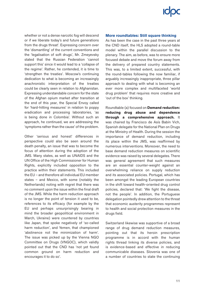whether or not a dense narcotic fog will descend or if we liberate today's and future generations from the drugs threat'. Expressing concern over the 'dismantling' of the current conventions and the 'legalisation of soft drugs', Mr. Zmeyevsky stated that the Russian Federation 'cannot support this' since it would lead to a 'collapse of the regime'. Rather, he contended, it is time to 'strengthen the treaties'. Moscow's continuing dedication to what is becoming an increasingly anachronistic interpretation of the treaties could be clearly seen in relation to Afghanistan. Expressing understandable concern for the state of the Afghan opium market after transition at the end of this year, the Special Envoy called for 'hard-hitting measures' in relation to poppy eradication and processing laboratories, 'as is being done in Colombia'. Without such an approach, he continued, we are addressing the 'symptoms rather than the cause' of the problem.

Other 'serious and honest' differences in perspective could also be seen around the death penalty, an issue that was to become the focus of attention during the adoption of the JMS. Many states, as well as UNAIDS and the UN Office of the High Commissioner for Human Rights, explicitly included opposition to the practice within their statements. This included the EU – and therefore all individual EU member states – and Mexico, with some (notably the Netherlands) noting with regret that there was no comment upon the issue within the final draft of the JMS. While the harm reduction approach is no longer the point of tension it used to be, references to its efficacy (for example by the EU and perhaps unsurprisingly bearing in mind the broader geopolitical environment in March, Ukraine) were countered by countries like Japan, that spoke negatively of 'so-called harm reduction', and Yemen, that championed 'abstinence not the minimization of harm'. The issue was picked up by the Vienna NGO Committee on Drugs (VNGOC), which validly pointed out that the CND has 'not yet found common ground on harm reduction and encourages it to do so'.

### **More roundtables: Still square thinking**

As has been the case in the past three years at the CND itself, the HLS adopted a round-table model within the parallel discussion to the plenary. The aim, as before, was to ensure more focused debate and move the forum away from the delivery of prepared country statements. This was, to a limited extent, successful, with the round-tables following the now familiar, if arguably increasingly inappropriate, three pillar approach to dealing with what is becoming an ever more complex and multifaceted 'world drug problem' that requires more creative and 'out of the box' thinking.

Roundtable (a) focused on **Demand reduction: reducing drug abuse and dependence through a comprehensive approach.** It was chaired by Francisco de Asís Babín Vich, Spanish delegate for the National Plan on Drugs at the Ministry of Health. During the session the importance of demand reduction, including its place within the JMS, was reaffirmed by numerous interventions. Moreover, the need to base demand reduction measures on scientific evidence was raised by several delegates. There was general agreement that such measures are an essential counter-weight against an overwhelming reliance on supply reduction and its associated policies. Portugal, which has been amongst the leading European countries in the shift toward health-oriented drug control policies, declared that: 'We fight the disease, not the people'. In addition, the Portuguese delegation pointedly drew attention to the threat that economic austerity programmes represent to health and social protection measures in the drugs field.

Switzerland likewise was supportive of a broad range of drug demand reduction measures, pointing out that its heroin prescription programme is in accord with the human rights thread linking its diverse policies, and is evidence-based and effective in reducing communicable diseases. Slovenia was one of a number of countries to state the continuing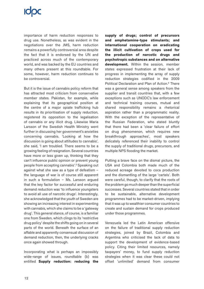# **ICIDC**

importance of harm reduction responses to drug use. Nonetheless, as was evident in the negotiations over the JMS, harm reduction remains a powerfully controversial area despite the fact that it is endorsed by the UN and practiced across much of the contemporary world, and was backed by the EU countries and many others present at this roundtable. For some, however, harm reduction continues to be controversial.

But it is the issue of cannabis policy reform that has attracted most criticism from conservative member states. Pakistan, for example, while explaining that its geographical position at the centre of a major opiate trafficking hub results in its prioritisation of supply reduction, registered its opposition to the legalisation of cannabis or any illicit drug. Likewise Maria Larsson of the Swedish Health Ministry went further in discussing her government's anxieties concerning cannabis. 'Looking at how the discussion is going about attitudes to cannabis', she said, 'I am troubled. There seems to be a growing feeling of resignation. Several countries have more or less given up, thinking that they can't influence public opinion or prevent young people from accepting cannabis'.5 Speaking out against what she saw as a type of defeatism – the language of war is of course still apparent in such a formulation – Ms. Larsson argued that the key factor for successful and enduring demand reduction was 'to influence youngsters to avoid all use of narcotic drugs'. Interestingly, she acknowledged that the youth of Sweden are showing an increasing interest in experimenting with cannabis, which she claims to be a 'gateway drug'. This general stance, of course, is a familiar one from Sweden, which clings to its 'restrictive drug policy' despite the shifts going on in several parts of the world. Beneath the surface of an affable and apparently consensual discussion of demand reduction, then, the underlying cracks once again showed through.

Incorporating what is perhaps an impossibly wide-range of issues, roundtable (b) was entitled **Supply reduction: reducing the** 

**supply of drugs; control of precursors and amphetamine-type stimulants; and international cooperation on eradicating the illicit cultivation of crops used for the production of narcotic drugs and psychotropic substances and on alternative development.** Within the session, member states expressed frustration at their lack of progress in implementing the array of supply reduction strategies codified in the 2009 Political Declaration and Plan of Action.<sup>6</sup> There was a general sense among speakers from the supplier and transit countries that, with a few exceptions such as UNODC's law enforcement and technical training courses, mutual and shared responsibility remains a rhetorical aspiration rather than a programmatic reality. With the exception of the representative of the Russian Federation, who stated bluntly that there had been a 'clear failure of effort on drug phenomenon, which requires new breakthrough approaches', most speakers delicately referenced their inability to control the supply of traditional drugs, precursors, and multiple NPS flooding the market.

Putting a brave face on the dismal picture, the USA and Colombia both made much of the reduced acreage devoted to coca production and the dismantling of the large 'cartels'. Both were careful, though, to clarify that the roots of the problem go much deeper than the superficial successes. Several countries stated that in order to be sustainable, alternative development programmes had to be market-driven, implying that it was up to wealthier consumer countries to create and sustain demand for crops produced under those programmes.

Venezuela led the Latin American offensive on the failure of traditional supply reduction strategies, joined by Brazil, Colombia and Argentina who criticised the lack of data to support the development of evidence-based policy. Citing their limited resources, namely taxpayers' money, to fund supply reduction strategies when it was clear these could not offset '*un*limited' demand from consumer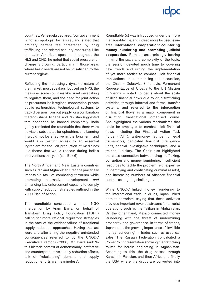countries, Venezuela declared, 'our government is not an apologist for failure', and stated that ordinary citizens feel threatened by drug trafficking and related security measures. Like the Latin American speakers throughout the HLS and CND, he noted that social pressure for change is growing, particularly in those areas where basic needs are not being satisfied by the current regime.

Reflecting the increasingly dynamic nature of the market, most speakers focused on NPS, the measures some countries like Israel were taking to regulate them, and the need for joint action on precursors, be it regional cooperation, private public partnerships, technological systems to track diversion from licit supply, or a combination thereof. Ghana, Nigeria, and Pakistan suggested that ephedrine be banned completely. India gently reminded the roundtable that there were no viable substitutes for ephedrine, and banning it would not be effective in the long term and would also restrict access to an essential ingredient for the licit production of medicines – a theme that would reoccur during India's interventions this year (see Box 6).

The North African and Near Eastern countries such as Iraq and Afghanistan cited the practically impossible task of combating terrorism while promoting alternative development *and* enhancing law enforcement capacity to comply with supply reduction strategies outlined in the 2009 Plan of Action.

The roundtable concluded with an NGO intervention by Aram Barra, on behalf of Transform Drug Policy Foundation (TDPF) calling for more rational regulatory strategies in the face of the evident failure of traditional supply reduction approaches. Having the last word and after citing the negative unintended consequences referred to by the UNODC Executive Director in 2008,<sup>7</sup> Mr. Barra said: 'In this historic context of demonstrably ineffective and counterproductive supply reduction efforts, talk of "rebalancing" demand and supply reduction efforts are meaningless'.

Roundtable (c) was introduced under the more manageable title, and indeed more focused issue area, **International cooperation: countering money-laundering and promoting judicial cooperation.** Perhaps unsurprisingly bearing in mind the scale and complexity of the topic**,**  the session devoted much time to covering new trends and urging the implementation of yet more tactics to combat illicit financial transactions. In summarising the discussion, the Chair – Dubravka Simonovic, Permanent Representative of Croatia to the UN Mission in Vienna – noted concerns about the scale of illicit financial flows due to drug trafficking activities, through informal and formal transfer systems, and referred to the interception of financial flows as a major component in disrupting transnational organised crime. She highlighted the various mechanisms that could be employed to combat illicit financial flows, including the Financial Action Task Force (FAFT), anti-money laundering legal frameworks, dedicated financial intelligence units, special investigative techniques, and a trained judiciary. The Chair also highlighted the close connection between drug trafficking, corruption and money laundering, insufficient resources to tackle the problem (e.g. expertise in identifying and confiscating criminal assets), and increasing numbers of offshore financial centres as ongoing challenges.

While UNODC linked money laundering to the international trade in drugs, Japan linked both to terrorism, saying that these activities provided important revenue streams for terrorist operations such as the Taliban in Afghanistan. On the other hand, Mexico connected money laundering with the threat of undermining prosperity and governance. In terms of trends, Japan noted the growing importance of 'invisible money laundering' in trades such as used car sales. The Russian Federation contributed a PowerPoint presentation showing the trafficking routes for heroin originating in Afghanistan. According to this, the drug passes through Karachi in Pakistan, and then Africa and finally the USA where the drugs are converted into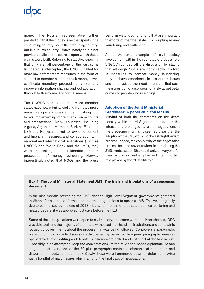money. The Russian representative further pointed out that the money is neither spent in the consuming country, nor in the producing country, but in a fourth country. Unfortunately he did not provide details on the sources upon which these claims were built. Referring to statistics showing that only a small percentage of the vast sums laundered is intercepted, the UNODC called for more law enforcement measures in the form of support to member states to track money flows, confiscate monetary proceeds of crime, and improve information sharing and collaboration, through both informal and formal means.

The UNODC also noted that more member states have now criminalised and instituted more measures against money laundering, along with banks implementing more checks on accounts and transactions. Many countries, including Algeria, Argentina, Morocco, Burkina Faso, the USA and Kenya, referred to law enforcement and financial measures, and collaboration with regional and international institutions (such as UNODC, the World Bank and the IMF), they were undertaking to boost identification and prosecution of money laundering. Norway interestingly noted that NGOs and the press

perform watchdog functions that are important to efforts of member states in disrupting money laundering and trafficking.

As a welcome example of civil society involvement within the roundtable process, the VNGOC rounded off the discussion by stating that although NGOs are not directly involved in measures to combat money laundering, they do have experience in associated issues and emphasised the need to ensure that such measures do not disproportionately target petty crimes or people who use drugs.

## **Adoption of the Joint Ministerial Statement: A paper-thin consensus**

Mindful of both the comments on the death penalty within the HLS general debate and the intense and prolonged nature of negotiations in the preceding months, it seemed clear that the adoption of the JMS would not be a straightforward process. Indeed, the complexity of the negotiation process became obvious when, in introducing the JMS, Ambassador Shamaa thanked everyone for their hard work and emphasised the important role played by the 26 facilitators.

## **Box 4. The Joint Ministerial Statement JMS: The trials and tribulations of a consensus document**

In the nine months preceding the CND and the High-Level Segment, governments gathered in Vienna for a series of formal and informal negotiations to agree a JMS. This was originally due to be finalised by the end of 2013 – but after months of protracted political bartering and heated debate, it was approved just days before the HLS.

Some of these negotiations were open to civil society, and some were not. Nonetheless, IDPC was able to attend the majority of them, and witnessed first-hand the frustrations and complaints lodged by governments about the process that was being followed. Controversial paragraphs were put on hold for side discussions that never happened, while agreed paragraphs were reopened for further editing and debate. Sessions were called and cut short at the last minute – possibly in an attempt to keep the conversations limited to Vienna-based diplomats. At one stage, almost every one of the 50-plus paragraphs contained elements of contention and disagreement between countries.<sup>8</sup> Slowly these were hammered down or deferred, leaving just a handful of major issues which ran until the final days of negotiations.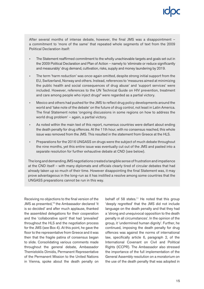After several months of intense debate, however, the final JMS was a disappointment – a commitment to 'more of the same' that repeated whole segments of text from the 2009 Political Declaration itself:

- The Statement reaffirmed commitment to the wholly unachievable targets and goals set out in the 2009 Political Declaration and Plan of Action – namely to 'eliminate or reduce significantly and measurably' drug demand, cultivation, risks, supply and money laundering by 2019.
- The term 'harm reduction' was once-again omitted, despite strong initial support from the EU, Switzerland, Norway and others. Instead, references to 'measures aimed at minimizing the public health and social consequences of drug abuse' and 'support services' were included. However, references to the UN Technical Guide on HIV prevention, treatment and care among people who inject drugs<sup>9</sup> were regarded as a partial victory.
- Mexico and others had pushed for the JMS to reflect drug policy developments around the world and 'take note of the debate' on the future of drug control, not least in Latin America. The final Statement notes 'ongoing discussions in some regions on how to address the world drug problem' – again, a partial victory.
- As noted within the main text of this report, numerous countries were defiant about ending the death penalty for drug offences. At the 11th hour, with no consensus reached, this whole issue was removed from the JMS. This resulted in the statement from Greece at the HLS.
- Preparations for the 2016 UNGASS on drugs were the subject of much debate throughout the nine months, yet this entire issue was eventually cut out of the JMS and pasted into a separate resolution for further exhaustive debate at CND (see below).

The long and demanding JMS negotiations created a tangible sense of frustration and impatience at the CND itself – with many diplomats and officials clearly tired of circular debates that had already taken up so much of their time. However disappointing the final Statement was, it may prove advantageous in the long-run as it has instilled a resolve among some countries that the UNGASS preparations cannot be run in this way.

Receiving no objections to the final version of the JMS as presented,<sup>10</sup> the Ambassador declared 'it is so decided' and after much applause, thanked the assembled delegations for their cooperation and the 'collaborative spirit' that had 'prevailed' throughout the HLS and the negotiation process for the JMS (see Box 4). At this point, he gave the floor to the representative from Greece and it was then that the fragile patina of consensus began to slide. Consolidating various comments made throughout the general debate, Ambassador Themistoklis Dimidis, Permanent Representative of the Permanent Mission to the United Nations in Vienna, spoke about the death penalty on behalf of 58 states.<sup>11</sup> He noted that this group 'deeply regretted' that the JMS did not include language on the death penalty and that they had a 'strong and unequivocal opposition to the death penalty in all circumstances'. In the opinion of the group, it 'undermined human dignity'. Further, he continued, imposing the death penalty for drug offences was against the norms of international law, specifically article 6, paragraph 2, of the International Covenant on Civil and Political Rights (ICCPR). The Ambassador also stressed the importance of the full implementation of the General Assembly resolution on a moratorium on the use of the death penalty that was adopted in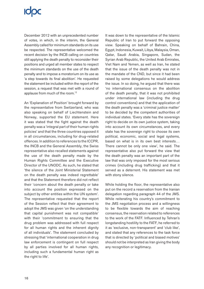## **ICOC**

December 2012 with an unprecedented number of votes, in which, in the interim, the General Assembly called for minimum standards on its use be respected. The representative welcomed the recent decision by the INCB calling on countries still applying the death penalty to reconsider their positions and urged all member states to respect the minimum standards on the use of the death penalty and to impose a moratorium on its use as 'a step towards its final abolition'. He requested the statement be included within the report of the session, a request that was met with a round of applause from much of the room.12

An 'Explanation of Position' brought forward by the representative from Switzerland, who was also speaking on behalf of Liechtenstein and Norway, supported the EU statement. Here it was stated that the fight against the death penalty was a 'integral part of their human rights policies' and that the three countries opposed it in all circumstances, including for drug-related offences. In addition to references to the ICCPR, the INCB and the General Assembly, the Swiss representative also recalled statements against the use of the death penalty made by the Human Rights Committee and the Executive Director of the UNODC. As such, he stated that 'the silence of the Joint Ministerial Statement on the death penalty was indeed regrettable' and that the Statement therefore did not reflect their 'concern about the death penalty or take into account the position expressed on the subject by other entities within the UN system'. The representative requested that the report of the Session reflect that their agreement to adopt the JMS was given 'on the understanding that capital punishment was not compatible' with their 'commitment to ensuring that the drug problem was addressed with full respect for all human rights and the inherent dignity of all individuals'. The statement concluded by stressing that 'international cooperation in drug law enforcement is contingent on full respect by all parties involved for all human rights, including such a fundamental human right as the right to life'.

It was down to the representative of the Islamic Republic of Iran to put forward the opposing view. Speaking on behalf of Bahrain, China, Egypt, Indonesia, Kuwait, Libya, Malaysia, Oman, Qatar, Saudi Arabia, Singapore, Sudan, the Syrian Arab Republic, the United Arab Emirates, Viet Nam and Yemen, as well as Iran, he stated that the issue of the death penalty was not in the mandate of the CND, but since it had been raised by some delegations he would address the issue. In so doing, he argued that there was 'no international consensus on the abolition of the death penalty, that it was not prohibited under international law (including the drug control conventions) and that the application of the death penalty was a 'criminal justice matter' to be decided by the competent authorities of individual states. 'Every state has the sovereign right to decide on its own justice system, taking into account its own circumstances, and every state has the sovereign right to choose its own political, economic, social and legal systems, based on what is in its own best interests… There cannot be only one view', he said. The representative also put forward the view that the death penalty was an important part of the law that was only imposed for the most serious crimes (including drug trafficking) and that it served as a deterrent. His statement was met with stony silence.

While holding the floor, the representative also put on the record a reservation from the Iranian delegation regarding paragraph 44 of the JMS. While reiterating his country's commitment to the JMS negotiation process and a willingness to be flexible towards the aim of reaching consensus, the reservation related to references to the work of the FATF. Influenced by Tehran's longstanding hostility to the FATF, he referred to it as 'exclusive, non-transparent' and 'club like', and stated that any references to the task force that is directed by 'political and biased motives' should not be interpreted as Iran giving the body any recognition or legitimacy.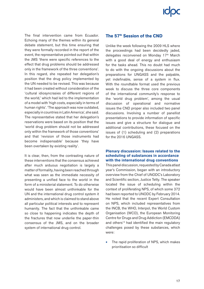The final intervention came from Ecuador. Echoing many of the themes within its general debate statement, but this time ensuring that they were formally recorded in the report of the event, the representative pointed out that within the JMS 'there were specific references to the effect that drug problems should be addressed only in the framework of the three conventions'. In this regard, she repeated her delegation's position that the drug policy implemented by the UN needed to be revised. This was because it had been created without consideration of the 'cultural idiosyncrasies of different regions of the world,' which had led to the implementation of a model with 'high costs, especially in terms of human rights'. 'The approach was now outdated, especially in countries in Latin America', she said. The representative stated that her delegation's reservations were based on its position that the 'world drug problem should not be addressed only within the framework of those conventions' and that 'revision of those instruments had become indispensable' because 'they have been overtaken by existing reality'.

It is clear, then, from the contrasting nature of these interventions that the consensus achieved after much arduous negotiation is largely a matter of formality, having been reached through what was seen as the immediate necessity of presenting a unified face to the world in the form of a ministerial statement. To do otherwise would have been almost unthinkable for the UN and the international drug control system it administers, and which is claimed to stand above all particular political interests and to represent humanity. The fact that the unthinkable came so close to happening indicates the depth of the fractures that now underlie the paper-thin consensus of the JMS, and on the broader system of international drug control.

## **The 57th Session of the CND**

Unlike the week following the 2009 HLS where the proceedings had been decidedly jaded, delegates reconvened on Monday 17<sup>th</sup> March with a good deal of energy and enthusiasm for the tasks ahead. This no doubt had much to do with the ongoing discussions about the preparations for UNGASS and the palpable, yet indefinable, sense of a system in flux. With the roundtable format used the previous week to discuss the three core components of the international community's response to the 'world drug problem', among the usual discussion of operational and normative issues the CND proper also included two panel discussions. Involving a number of panellist presentations to provide information of specific issues and give a structure for dialogue and additional contributions, these focused on the issues of (1) scheduling and (2) preparations for the 2016 UNGASS.

### **Plenary discussion: Issues related to the scheduling of substances in accordance with the international drug conventions**

This panel discussion, requested by Canada atlast year's Commission, began with an introductory overview from the Chief of UNODC's Laboratory and Scientific section, Justice Tetty. The speaker located the issue of scheduling within the context of proliferating NPS, of which some 372 had been reported to UNODC by February 2014. He noted that the recent Expert Consultation on NPS, which included representatives from the INCB, the WHO, Interpol, the World Custom Organisation (WCO), the European Monitoring Centre for Drugs and Drug Addiction (EMCDDA) and others<sup>13</sup> had identified the main regulatory challenges posed by these substances, which were:

The rapid proliferation of NPS, which makes prioritisation so difficult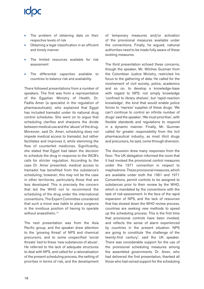- The problem of obtaining data on their respective levels of risk
- Obtaining a legal classification in an efficient and timely manner
- The limited resources available for risk assessment
- The differential capacities available to countries to balance risk and availability.

There followed presentations from a number of speakers. The first was from a representative of the Egyptian Ministry of Health, Dr. Fadila Amer (a specialist in the regulation of pharmaceuticals), who explained that Egypt has included tramadol under its national drug control schedules. She went on to argue that scheduling clarifies and sharpens the divide between medical use and the 'abuse' of the drug. Moreover, said Dr. Amer, scheduling does not impede medical access to tramadol, but rather facilitates and improves it, while stemming the flow of counterfeit medicines. Significantly, she stated that Egypt had taken the decision to schedule the drug in response to the INCB's calls for stricter regulation. According to the case Dr. Amer presented, medical access to tramadol has benefited from the substance's scheduling; however, this may not be the case in other territories, particularly those that are less developed. This is precisely the concern that led the WHO not to recommend the scheduling of the drug under the international conventions. The Expert Committee considered that such a move was liable to place surgeons in the invidious position of having to operate without anaesthetic.<sup>14</sup>

The next presentation was from the Asia Pacific group, and the speaker drew attention to the 'growing threat' of NPS and chemical precursors, and to some unspecified 'social threats' tied to these 'new substances of abuse'. He referred to the lack of adequate structures to deal with NPS, and called for a rationalisation of the present scheduling process, the setting of priorities in terms of risk, and the development of temporary measures and/or activation of the provisional measures available under the conventions. Finally, he argued, national authorities need to be made fully aware of these existing measures.

The third presentation echoed these concerns, though the speaker, Mr. Wilches Guzman from the Colombian Justice Ministry, restricted his focus to the gathering of data. He called for the involvement of civil society, police, academics and so on, to develop a knowledge-base with regard to NPS: not simply knowledge 'confined to library shelves', but 'rapid-reaction knowledge', the kind that would enable police forces to 'repress' supplies of these drugs. 'We can't continue to control an infinite number of drugs' said the speaker; 'We must prioritise', with flexible standards and regulations to respond in a dynamic manner. Finally, Mr. Guzman called for greater responsibility from the licit pharmaceutical industry, as most illicit drugs and precursors, he said, come through diversion.

The discussion drew many responses from the floor. The UK delegation informed the room that it had invoked the provisional control measures under the 1971 convention in respect to mephedrone. These provisional measures, which are available under both the 1961 and 1971 Conventions, permit controls to be assigned to substances prior to their review by the WHO, which is mandated by the conventions with the task of risk-assessment. In the face of the rapid expansion of NPS, and the lack of resources that has slowed down the WHO review process, countries are seeking new methods to speed up the scheduling process. This is the first time that provisional controls have been invoked, and reflects the sense of alarm experienced by countries in the present situation. NPS are going to constitute 'the challenge of the twenty-first century', said the UK speaker. There was considerable support for the use of the provisional scheduling measures among the assembled governments. Dr. Amer, who had delivered the first presentation, thanked all those who had voiced support for the scheduling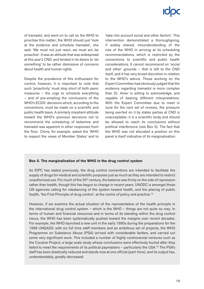of tramadol, and went on to call on the WHO to prioritise this matter; the WHO should just 'look at the evidence and schedule tramadol', she said. 'We must not just react, we must act, be proactive'. It was an attitude that was widespread at this year's CND, and tended in its desire to 'do something' to be rather dismissive of concerns about health and human rights.

Despite the prevalence of this enthusiasm for control, however, it is important to note that such 'proactivity' must stop short of both panic measures – the urge to schedule everything – and of pre-empting the conclusions of the WHO's ECDD: decisions which, according to the conventions, must be made on a scientific and public health basis. A similarly impatient attitude toward the WHO's previous decisions not to recommend the scheduling of ketamine and tramadol was apparent in other responses from the floor. China, for example, asked the 'WHO to respect the views of Member States' and to

'take into account social and other factors'. This intervention demonstrated a thoroughgoing, if widely shared, misunderstanding of the role of the WHO in arriving at its scheduling recommendations, which is restricted by the conventions to scientific and public health considerations. It *cannot* recommend on 'social and other' grounds – that is left to the CND itself, and it has very broad discretion in relation to the WHO's advice. Those working on the Expert Committee had obviously judged that the evidence regarding tramadol is more complex than Dr. Amer is willing to acknowledge, and capable of bearing different interpretations. With the Expert Committee due to meet in June for the next set of reviews, the pressure being exerted on it by states parties at CND is unacceptable; it is a scientific body and should be allowed to reach its conclusions without political interference (see Box 5). The fact that the WHO was not allocated a position on this panel is itself indicative of its marginalisation.

### **Box 5. The marginalisation of the WHO in the drug control system**

As IDPC has stated previously, the drug control conventions are intended to facilitate the supply of drugs for medical and scientific purposes just as much as they are intended to restrict unauthorised use. For much of the  $20<sup>th</sup>$  century, the balance was firmly on the side of repression rather than health, though this has begun to change in recent years. UNODC is amongst those UN agencies calling for rebalancing of the system toward health, and the placing of public health, 'the First Principle of drug control', at the centre of policy and practice.<sup>15</sup>

However, if we examine the actual situation of the representative of the health principle in the international drug control system – which is the WHO – things are not quite so rosy. In terms of human and financial resources and in terms of its standing within the drug control nexus, the WHO has been systematically pushed toward the margins over recent decades. For example, the WHO launched a new unit in the early 1990s during the preparations for the 1998 UNGASS; with six full time staff members and an ambitious set of projects, the WHO Programme on Substance Abuse (PSA) arrived with considerable fanfare, and carried out some very significant work. This included a number of highly controversial ventures such as the Cocaine Project, a large scale study whose conclusions were effectively buried after they failed to meet the requirements of its political paymasters – particularly the USA.<sup>16</sup> The PSA's staff has been drastically reduced and stands now at one official (part-time), and its output has, understandably, greatly decreased.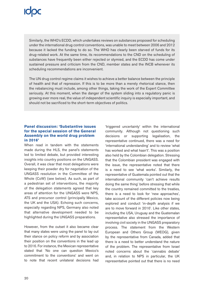Similarly, the WHO's ECDD, which undertakes reviews on substances proposed for scheduling under the international drug control conventions, was unable to meet between 2006 and 2012 because it lacked the funding to do so. The WHO has clearly been starved of funds for its drug-related work. At the same time, its recommendations to the CND on the scheduling of substances have frequently been either rejected or stymied, and the ECDD has come under sustained pressure and criticism from the CND, member states and the INCB whenever its scheduling recommendations are inconvenient.

The UN drug control regime claims it wishes to achieve a better balance between the principle of health and that of repression. If this is to be more than a merely rhetorical stance, then the rebalancing must include, among other things, taking the work of the Expert Committee seriously. At this moment, when the danger of the system sliding into a regulatory panic is growing ever more real, the value of independent scientific inquiry is especially important, and should not be sacrificed to the short-term objectives of politics.

### **Panel discussion: 'Substantive issues for the special session of the General Assembly on the world drug problem in 2016'**

When read in tandem with the statements made during the HLS, the panel's statements led to limited debate, but provided interesting insights into country positions on the UNGASS. Overall, it was clear that most delegations were keeping their powder dry for negotiation of the UNGASS resolution in the Committee of the Whole (CoW) (see below). As such, as part of a pedestrian set of interventions, the majority of the delegation statements agreed that key areas of attention for the UNGASS were NPS, ATS and precursor control (principally Mexico, the UK and the USA). Echoing such concerns, especially regarding NPS, Germany also noted that alternative development needed to be highlighted during the UNGASS preparations.

However, from the outset it also became clear that many states were using the panel to lay out their stance on policy reform and by association their position on the conventions in the lead up to 2016. For instance, the Mexican representative stated that 'No one can question Mexico's commitment to the conventions' and went on to note that recent unilateral decisions had 'triggered uncertainty' within the international community. Although not questioning such decisions or supporting legalisation, the representative continued, there was a need for 'international understanding' and to review 'what has worked and what hasn't'. This was a position also held by the Colombian delegation. Stressing that the Colombian president was engaged with the issue, the representative noted that there is a need to see 'what works'. Similarly, the representative of Guatemala pointed out that the international community 'can't achieve results doing the same thing' before stressing that while the country remained committed to the treaties, there is a need to look for 'new approaches', take account of the different policies now being explored and conduct 'in-depth analysis if we are to move forward in 2016'. Like other states, including the USA, Uruguay and the Guatemalan representative also stressed the importance of involving civil society in the UNGASS preparatory process. The statement from the Western European and Others Group (WEOG), given by the representative from Canada, added that there is a need to better understand the nature of the problem. The representative from Israel noted concerns about the 'cannabis debate' and, in relation to NPS in particular, the UK representative pointed out that there is no need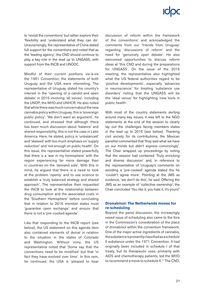to 'revisit the conventions' but rather explore their 'flexibility and 'understand what they can do'. Unsurprisingly, the representative of China stated full support for the conventions and noted that as the 'leading agency', the CND should continue to play a key role in the lead up to UNGASS, with support from the INCB and UNODC.

Mindful of their current positions vis-à-vis the 1961 Convention, the statements of both Uruguay and the USA were interesting. The representative of Uruguay stated his country's interest in the 'opening of a candid and open debate' in 2016 involving 'all voices', including the UNDP, the WHO and UNHCR. He also noted that while there was much concern about the new cannabis policy within Uruguay, this is 'sovereign public policy'. 'We don't want an argument', he continued, and stressed that although there has been much discussion about 'balance' and shared responsibility, this is not the case in Latin America. Here, he stated, policy is 'unbalanced' and 'skewed' with too much emphasis on 'supply reduction' and 'not enough on public health'. On this issue, the representative stated powerfully that there is a 'war in my hemisphere' with the region experiencing far more damage than in countries on the 'demand side'. With this in mind, he argued that there is a need to look at the problem 'openly' and to use science to establish a 'truly balanced strategy and shared approach'. The representative then requested the INCB to look at the relationship between drug consumption and the associated costs in the 'Southern Hemisphere' before concluding that in relation to 2016 member states must 'guarantee open exchange' and ensure that there is not a 'pre-cooked agenda'.

Like that responding to the INCB report (see below), the US statement on this agenda item also contained elements of denial in relation to the situation in the states of Colorado and Washington. Without irony, the US representative noted that 'Some say that the conventions need to be modified' but that 'in fact they have evolved over time'. In this vein, he continued, the USA is 'pleased to hear discussion of reform within the framework of the conventions' and acknowledged the comments from our 'friends from Uruguay' regarding 'discussions of reform' and the need for 'genuinely open debate'. He also welcomed opportunities to discuss reform ideas at 'this CND and during the preparations for UNGASS'. On the issue of the 2016 meeting, the representative also highlighted what the US federal authorities regard to be 'positive developments', especially 'advances in neuroscience' for treating 'substance use disorders' noting that the UNGASS will be the 'ideal venue' for highlighting 'new tools in public health'.

With most of the country statements skirting around many key issues, it was left to the NGO statements at the end of the session to clearly lay out the challenges facing members states in the lead up to 2016 (see below). Thanking civil society for its contributions, the Mexican panellist commented that 'they said what we have on our minds but didn't express convincingly'. The Chair wrapped up proceedings by noting that the session had contained 'Truly enriching and diverse discussion' and, in reference to the representative of Uruguay's comments on avoiding a 'pre-cooked' agenda stated the he 'couldn't agree more'. Pointing at the JMS as evidence, 'we don't do this', he said. Offering the JMS as an example of 'collective ownership', the Chair concluded 'You like it, you hate it, it's yours!'

### **Dronabinol: The Netherlands moves for re-scheduling**

Beyond the panel discussion, the increasingly vexed issue of scheduling also came to the fore in the Commission's consideration of the place of dronabinol within the convention framework. One of the major active ingredients of cannabis, the substance is presently classified as a schedule II substance under the 1971 Convention. It had originally been included in schedule I of that treaty, but its therapeutic uses, primarily with AIDS and chemotherapy patients, led the WHO to recommend a move to schedule II.<sup>17</sup> The CND,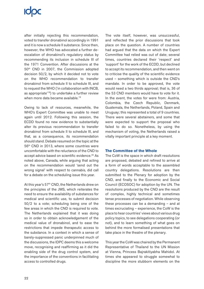## **ICOC**

after initially rejecting this recommendation, voted to transfer dronabinol accordingly in 1991 and it is now a schedule II substance. Since then, however, the WHO has advocated a further deescalation of dronabinol's regulatory status by recommending its inclusion in schedule III of the 1971 Convention. After discussions at the 50th CND in 2007, the Commission adopted decision 50/2, by which it decided not to vote on the WHO recommendation to transfer dronabinol from schedule II to schedule III, and to request the WHO ('in collaboration with INCB, as appropriate'18) to undertake a further review when more data became available.<sup>19</sup>

Owing to lack of resources, meanwhile, the WHO's Expert Committee was unable to meet again until 2012. Following this session, the ECDD found no new evidence to substantially alter its previous recommendation to transfer dronabinol from schedule II to schedule III, and that, as a consequence, its recommendation should stand. Debate resumed on the topic at the 56th CND in 2013, where some countries were uncomfortable with the reluctance of the CND to accept advice based on scientific evidence.<sup>20</sup> As noted above, Canada, while arguing that acting on the recommendation would 'send out the wrong signal' with respect to cannabis, did call for a debate on the scheduling issue this year.

At this year's 57<sup>th</sup> CND, the Netherlands drew on the principles of the JMS, which reiterates the need to ensure the availability of substances for medical and scientific use, to submit decision 50/2 to a vote; scheduling being one of the few areas in which the CND is required to vote. The Netherlands explained that it was doing so in order to obtain acknowledgement of the medical value of dronabinol, and to ease the restrictions that impede therapeutic access to the substance. In a context in which a sense of barely-suppressed panic underpinned much of the discussions, the IDPC deems this a welcome move, recognising and reaffirming as it did the enabling side of the drug control system, and the importance of the conventions in facilitating access to controlled drugs.

The vote itself, however, was unsuccessful, and reflected the prior discussions that took place on the question. A number of countries had argued that the data on which the Expert Committee had relied was out of date; several times, countries declared their 'respect' and 'support' for the work of the ECDD, but declined to accept its recommendation, and then went on to criticise the quality of the scientific evidence used – something which is outside the CND's mandate. In order to be approved, the vote would need a two thirds approval; that is, 36 of the 53 CND members would have to vote for it. In the event, the votes for were from: Austria, Colombia, the Czech Republic, Denmark, Guatemala, the Netherlands, Poland, Spain and Uruguay; this represented a total of 9 countries. There were several abstainers, and some that were expected to support the proposal who failed to do so. Nonetheless, by using the mechanism of voting, the Netherlands raised a vitally important principle at a key moment.

### **The Committee of the Whole**

The CoW is the space in which draft resolutions are proposed, debated and refined to arrive at a form of words acceptable to the assembled country delegations. Resolutions are then submitted to the Plenary for adoption by the CND, and finally to the Economic and Social Council (ECOSOC) for adoption by the UN. The resolutions produced by the CND are the result of complex, highly technical and sometimes tense processes of negotiation. While observing these processes can be a demanding – and at times excruciating – experience, the CoW is the place to hear countries' views about various drug policy topics, to see delegations cooperating (or not), and to learn something of what goes on behind the more formalised presentations that take place in the theatre of the plenary.

This year the CoW was chaired by the Permanent Representative of Thailand to the UN Mission at Vienna, Princess Bajrakitiyabha Mahidol. At times she appeared to struggle somewhat to discipline the more stubborn elements on the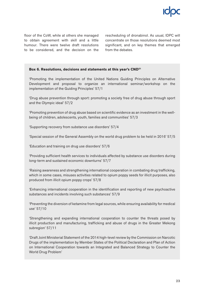floor of the CoW, while at others she managed to obtain agreement with skill and a little humour. There were twelve draft resolutions to be considered, and the decision on the rescheduling of dronabinol. As usual, IDPC will concentrate on those resolutions deemed most significant, and on key themes that emerged from the debates.

### **Box 6. Resolutions, decisions and statements at this year's CND21**

'Promoting the implementation of the United Nations Guiding Principles on Alternative Development and proposal to organize an international seminar/workshop on the implementation of the Guiding Principles' 57/1

'Drug abuse prevention through sport: promoting a society free of drug abuse through sport and the Olympic ideal' 57/2

'Promoting prevention of drug abuse based on scientific evidence as an investment in the wellbeing of children, adolescents, youth, families and communities' 57/3

'Supporting recovery from substance use disorders' 57/4

'Special session of the General Assembly on the world drug problem to be held in 2016' 57/5

'Education and training on drug use disorders' 57/6

'Providing sufficient health services to individuals affected by substance use disorders during long-term and sustained economic downturns' 57/7

'Raising awareness and strengthening international cooperation in combating drug trafficking, which in some cases, misuses activities related to opium poppy seeds for illicit purposes, also produced from illicit opium poppy crops' 57/8

'Enhancing international cooperation in the identification and reporting of new psychoactive substances and incidents involving such substances' 57/9

'Preventing the diversion of ketamine from legal sources, while ensuring availability for medical use' 57/10

'Strengthening and expanding international cooperation to counter the threats posed by illicit production and manufacturing, trafficking and abuse of drugs in the Greater Mekong subregion' 57/11

'Draft Joint Ministerial Statement of the 2014 high-level review by the Commission on Narcotic Drugs of the implementation by Member States of the Political Declaration and Plan of Action on International Cooperation towards an Integrated and Balanced Strategy to Counter the World Drug Problem'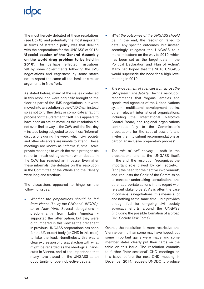The most fiercely debated of these resolutions (see Box 6), and potentially the most important in terms of strategic policy was that dealing with the preparations for the UNGASS of 2016: **'Special session of the General Assembly on the world drug problem to be held in 2016'**. This perhaps reflected frustrations felt by some governments following the JMS negotiations and eagerness by some states not to repeat the same all-too-familiar circular arguments in New York.

As stated before, many of the issues contained in this resolution were originally brought to the floor as part of the JMS negotiations, but were moved into a resolution by the CND Chair instead so as not to further delay or complicate a fraught process for the Statement itself. This appears to have been an astute move, as this resolution did not even find its way to the CoW until the final day – instead being subjected to countless 'informal' discussions during the week, which civil society and other observers are unable to attend. These meetings are known as 'informals', small scale private meetings to which the main protagonists retire to thrash out agreement when debate in the CoW has reached an impasse. Even after these informals, the debates on this resolution in the Committee of the Whole and the Plenary were long and fractious.

The discussions appeared to hinge on the following issues:

• *Whether the preparations should be led from Vienna (i.e. by the CND and UNODC), or in New York*. Several delegations – predominantly from Latin America – supported the latter option, but they were outnumbered in this view as the precedent in previous UNGASS preparations has been for the UN expert body (or CND in this case) to take the lead. Nonetheless, this was a clear expression of dissatisfaction with what might be regarded as the ideological handcuffs in Vienna, and of the importance that many have placed on the UNGASS as an opportunity for open, objective debate.

- *What the outcomes of the UNGASS should be*. In the end, the resolution failed to detail any specific outcomes, but instead seemingly relegates the UNGASS to a mere 'milestone on the way to 2019, which has been set as the target date in the Political Declaration and Plan of Action'. Many had hoped that the 2016 UNGASS would supersede the need for a high-level meeting in 2019.
- *The engagement of agencies from across the UN system in the debate*. The final resolution recommends that 'organs, entities and specialized agencies of the United Nations system, multilateral development banks, other relevant international organizations, including the International Narcotics Control Board, and regional organizations contribute fully to the Commission's preparations for the special session', and invites them to submit recommendations as part of 'an inclusive preparatory process'.
- *The role of civil society* both in the preparations and at the UNGASS itself. In the end, the resolution 'recognizes the important role played by civil society… [and] the need for their active involvement', and 'requests the Chair of the Commission to consider undertaking consultations and other appropriate actions in this regard with relevant stakeholders'. As is often the case in consensus negotiations, this means a lot and nothing at the same time – but provides enough fuel for on-going civil society advocacy efforts around the UNGASS (including the possible formation of a broad Civil Society Task Force).

Overall, the resolution is more restrictive and Vienna-centric than some may have hoped, but some important gains were made and some member states clearly put their cards on the table on this issue. The resolution commits to further 'inter-sessional' CND meetings on this issue before the next CND meeting in December 2014, requests UNODC to produce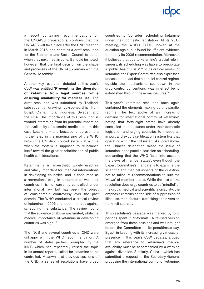a report containing recommendations on the UNGASS preparations, confirms that the UNGASS will take place after the CND meeting in March 2016, and contains a draft resolution for the Economic and Social Council to adopt when they next meet in June. It should be noted, however, that the final decision on the shape and processes of the UNGASS remain with the General Assembly.

Another key resolution debated at this year's CoW was entitled **'Preventing the diversion of ketamine from legal sources, while ensuring availability for medical use**'. The draft resolution was submitted by Thailand, subsequently drawing co-sponsorship from Egypt, China, India, Indonesia, Sweden and the USA. The importance of this resolution is twofold, stemming from its potential impact on the availability of essential medicines – in this case ketamine – and because it represents a further step in the marginalising of the WHO within the UN drug control system at a time when the system is supposed to re-balance itself toward the greater prioritisation of public health considerations.

Ketamine is an anaesthetic widely used in, and vitally important for, medical interventions in developing countries, and is consumed as a recreational drug in a number of wealthier countries. It is not currently controlled under international law, but has been the object of considerable controversy over the past decade. The WHO conducted a critical review of ketamine in 2006 and recommended against scheduling the substance. The review found that the evidence of abuse was limited, while the medical importance of ketamine in developing countries was high.22

The INCB and several countries at CND were unhappy with the WHO recommendation. A number of states parties, prompted by the INCB which had repeatedly raised the topic in its annual reports, called for ketamine to be controlled. Meanwhile at previous sessions of the CND, a series of resolutions have urged countries to 'consider' scheduling ketamine under their domestic legislation. At its 2012 meeting, the WHO's ECDD, looked at the question again, but found insufficient evidence to modify its 2006 recommendation. Moreover, it believed that due to ketamine's crucial role in surgery, its scheduling was liable to precipitate a 'public health crisis'.23 In its critical review of ketamine, the Expert Committee also expressed unease at the fact that a parallel control regime, outside the mechanisms set down in the drug control conventions, was in effect being established through these manoeuvres.<sup>24</sup>

This year's ketamine resolution once again contained the elements making up this parallel regime. The text spoke of an 'increasing demand for international control of ketamine', noting that forty-eight states have already controlled the substance under their domestic legislation and urging countries to impose an import and export certification system like that operating within the UN system. As noted above, the Chinese delegation raised the issue of ketamine in the panel discussion on scheduling, demanding that the WHO 'take into account the views of member states', even though the Expert Committee's mandate is to examine the scientific and medical aspects of the question, not to tailor its recommendations to suit the 'views' of member states. While the text of the resolution does urge countries to be 'mindful' of the drug's medical and scientific availability, the emphasis remains on the side of suppression of illicit use, manufacture, trafficking and diversion from licit sources.

This resolution's passage was marked by long periods spent in 'informals'. A revised version emerged from these sessions and was brought before the Committee on its penultimate day. Egypt, in keeping with its increasingly muscular presence in this year's CoW debates, argued that any reference to ketamine's medical availability must be accompanied by a warning against diversion. Similarly, China – which has submitted a request to the Secretary General proposing the international control of ketamine,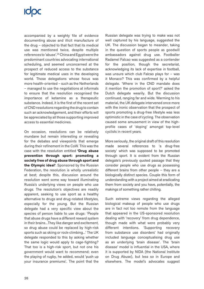# **ICIDC**

accompanied by a weighty file of evidence documenting abuse and illicit manufacture of the drug – objected to that fact that its medical use was mentioned twice, despite multiple references to 'abuse'.25 China and Egypt were the predominant countries advocating international scheduling, and seemed unconcerned at the prospect of reduced access to the substance for legitimate medical uses in the developing world. Those delegations whose focus was more health-oriented – such as the Netherlands – managed to use the negotiations at informals to ensure that the resolution recognised the importance of ketamine as a therapeutic substance. Indeed, it is the first of the recent set of CND resolutions regarding the drug to contain such an acknowledgement, and their efforts will be appreciated by all those supporting improved access to essential medicines.

On occasion, resolutions can be relatively mundane but remain interesting or revealing for the debates and viewpoints that emerge during their refinement in the CoW. This was the case with the resolution entitled **'Drug abuse prevention through sport: promoting a society free of drug abuse through sport and the Olympic ideal'**. Sponsored by the Russian Federation, the resolution is wholly unrealistic at best; despite this, discussion around the resolution went some way toward illuminating Russia's underlying views on people who use drugs. The resolution's objectives are readily apparent, seeking to use sport as a healthy alternative to drugs and drug-related lifestyles, especially for the young. But the Russian delegate had a very specific view about the species of person liable to use drugs: 'People that abuse drugs have a different reward system in their brains...They like danger and excitement, so drug abuse could be replaced by high-risk sports such as skiing or rock-climbing...' The UK delegate responded to this by asking whether the same logic would apply to cage-fighting? That too is a high-risk sport, but not one his government would want to recommend; even the playing of rugby, he added, would 'push up your insurance premiums'. The point that the

Russian delegate was trying to make was not well captured by his language, suggested the UK. The discussion began to meander, taking in the question of sports people as goodwill ambassadors against drug use. Footballer Radamel Falcao was suggested as a contender for the position, though the secretariat, acknowledging its lack of expertise in football, was unsure which club Falcao plays for – was it Monaco? This was confirmed by a helpful delegate. 'Where in the CND mandate does it mention the promotion of sport?' asked the Dutch delegate wearily. But the discussion continued, ranging far and wide. Warming to his material, the UK delegate intervened once more with the ironic observation that the prospect of sports promoting a drug-free lifestyle was less optimistic in the case of cycling. The observation caused some amusement in view of the highprofile cases of 'doping' amongst top-level cyclists in recent years.

More seriously, the original draft of this resolution made several references to 'a drug-free society' which was supposed to be promoted through sport. It is evident from the Russian delegate's previously quoted passage that they consider people who use drugs as possessing different brains from other people – they are a biologically distinct species. Couple this form of understanding with a project aimed at eradicating them from society and you have, potentially, the makings of something rather chilling.

Such extreme views regarding the alleged biological makeup of people who use drugs are in fact not too remote from the language that appeared in the US-sponsored resolution dealing with 'recovery' from drug dependence, though made with what were probably very different intentions. 'Supporting recovery from substance use disorders' had originally included language conceptualising drug use as an underlying 'brain disease'. The 'brain disease' model is influential in the USA, where it is supported by NIDA (the National Institute on Drug Abuse), but less so in Europe and elsewhere. The model's advocates suggest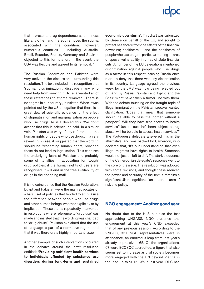that it presents drug dependence as an illness like any other, and thereby removes the stigma associated with the condition. However, numerous countries – including Australia, Brazil, Ecuador, France, Germany and Spain – objected to this formulation. In the event, the USA was flexible and agreed to its removal.<sup>26</sup>

The Russian Federation and Pakistan were very active in the discussions surrounding this resolution. The text included the recognition that 'stigma, discrimination... dissuade many who need help from seeking it'. Russia wanted all of these references to stigma removed. 'There is no stigma in our country', it insisted. When it was pointed out by the US delegation that there is a great deal of scientific evidence for the effect of stigmatisation and marginalisation on people who use drugs, Russia denied this. 'We don't accept that this is science' he said. In a similar vein, Pakistan was wary of any reference to the human rights of people who use drugs: in a very revealing phrase, it suggested that the wording should be 'respecting human rights, provided these do not lead to legalisation'. This captures the underlying fears of Pakistan and probably some of its allies in advocating for 'tough' drug policies: if the human rights of users are recognised, it will end in the free availability of drugs in the shopping mall.

It is no coincidence that the Russian Federation, Egypt and Pakistan were the main advocates of a harsh set of policies that tended to emphasise the difference between people who use drugs and other human beings, whether explicitly or by implication. These states repeatedly intervened in resolutions where reference to 'drug use' was made and insisted that the wording was changed to 'drug abuse'. Pakistan explained that the use of language is part of a normative regime and that it was therefore a highly important issue.

Another example of such interventions occurred in the debates around the draft resolution entitled: **'Providing sufficient health services to individuals affected by substance use disorders during long-term and sustained**  **economic downturns'**. This draft was submitted by Greece on behalf of the EU, and sought to protect healthcare from the effects of the financial downturn; healthcare – and the healthcare of people who use drugs in particular – being an area of special vulnerability in times of state financial cuts. A number of the EU delegations mentioned discrimination against people who use drugs as a factor in this respect, causing Russia once more to deny that there was any discrimination in its country. Language agreed the previous week for the JMS was now being rejected out of hand by Russia, Pakistan and Egypt, and the Chair might have taken a firmer line with them. With the debate touching on the fraught topic of illegal immigration, the Pakistan speaker wanted clarification: 'Does that mean that someone should be able to pass the border without a passport? Will they have free access to health services? Just because he's been subject to drug abuse, will he be able to access health services?' The Portuguese delegate answered this in the affirmative, and was backed by Cameroon, who declared that, 'It's our understanding that even illegal migrants have rights to health. Someone would not just be left to die'. The stark eloquence of the Cameroonian delegate's response went to the core of the issue. The resolution was adopted with some revisions, and though these reduced the power and accuracy of the text, it remains a significant UN recognition of an important area of risk and policy.

## **NGO engagement: Another good year**

No doubt due to the HLS but also the fast approaching UNGASS, NGO presence and engagement at this year's CND exceeded that of any previous session. According to the VNGOC, 331 NGO representatives were in attendance, an enormous leap from last year's already impressive 165. Of the organisations, 67 were ECOSOC accredited, a figure that also seems set to increase as civil society becomes more engaged with the UN beyond Vienna in the lead up to 2016. While last year IDPC had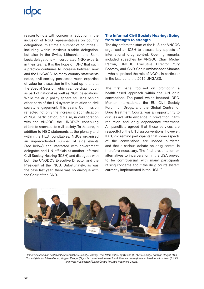# **ICOC**

reason to note with concern a reduction in the inclusion of NGO representatives on country delegations, this time a number of countries – including within Mexico's sizable delegation, but also in the Swiss, Lithuanian and Saint Lucia delegations – incorporated NGO experts in their teams. It is the hope of IDPC that such a practice continues to increase between now and the UNGASS. As many country statements noted, civil society possesses much expertise of value for discussion in the lead up to and at the Special Session, which can be drawn upon as part of national as well as NGO delegations. While the drug policy sphere still lags behind other parts of the UN system in relation to civil society engagement, this year's Commission reflected not only the increasing sophistication of NGO participation, but also, in collaboration with the VNGOC, the UNODC's continuing efforts to reach out to civil society. To that end, in addition to NGO statements at the plenary and within the HLS roundtables, NGOs organised an unprecedented number of side events (see below) and interacted with government delegates and UN officials at another Informal Civil Society Hearing (ICSH) and dialogues with both the UNODC's Executive Director and the President of the INCB. Unfortunately, as was the case last year, there was no dialogue with the Chair of the CND.

## **The Informal Civil Society Hearing: Going from strength to strength**

The day before the start of the HLS, the VNGOC organised an ICSH to discuss key aspects of international drug control. Opening remarks included speeches by VNGOC Chair Michel Perron, UNODC Executive Director Yury Fedotov, and CND Chair Ambassador Shamaa – who all praised the role of NGOs, in particular in the lead up to the 2016 UNGASS.

The first panel focused on promoting a health-based approach within the UN drug conventions. The panel, which featured IDPC, Mentor International, the EU Civil Society Forum on Drugs, and the Global Centre for Drug Treatment Courts, was an opportunity to discuss available evidence in prevention, harm reduction and drug dependence treatment. All panellists agreed that these services are respectful of the UN drug conventions. However, IDPC did remind participants that some aspects of the conventions are indeed outdated and that a serious debate on drug control is therefore necessary. The final presentation on alternatives to incarceration in the USA proved to be controversial, with many participants raising concerns about the drug courts system currently implemented in the USA.27



*Panel discussion on health at the Informal Civil Society Hearing. From left to right: Fay Watson (EU Civil Society Forum on Drugs), Paul Romani (Mentor International), Rogers Kasirye (Uganda Youth Development Link), Graciela Touze (Intercambios), Ann Fordham (IDPC) and West Huddleston (Global Centre for Drug Treatment Courts)*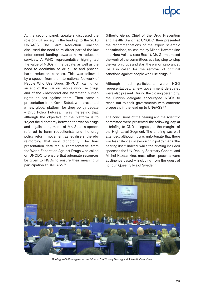# **ICIOC**

At the second panel, speakers discussed the role of civil society in the lead up to the 2016 UNGASS. The Harm Reduction Coalition discussed the need to re-direct part of the law enforcement funding towards harm reduction services. A WHO representative highlighted the value of NGOs in the debate, as well as the need to decriminalise drug use and provide harm reduction services. This was followed by a speech from the International Network of People Who Use Drugs (INPUD), calling for an end of the war on people who use drugs and of the widespread and systematic human rights abuses against them. Then came a presentation from Kevin Sabet, who presented a new global platform for drug policy debate – Drug Policy Futures. It was interesting that, although the objective of the platform is to 'reject the dichotomy between the war on drugs and legalisation', much of Mr. Sabet's speech referred to harm reductionists and the drug policy reform movement as legalisers, thereby reinforcing that very dichotomy. The final presentation featured a representative from the World Federation Against Drugs who called on UNODC to ensure that adequate resources be given to NGOs to ensure their meaningful participation at UNGASS.28

Gilberto Gerra, Chief of the Drug Prevention and Health Branch at UNODC, then presented the recommendations of the expert scientific consultations, co-chaired by Michel Kazatchkine and Nora Volkow (see Box 1). Mr. Gerra praised the work of the committees as a key step to 'stop the war on drugs and start the war on ignorance'. He also called for the removal of criminal sanctions against people who use drugs.<sup>29</sup>

Although most participants were NGO representatives, a few government delegates were also present. During the closing ceremony, the Finnish delegate encouraged NGOs to reach out to their governments with concrete proposals in the lead up to UNGASS.30

The conclusions of the hearing and the scientific committee were presented the following day at a briefing to CND delegates, at the margins of the High Level Segment. The briefing was well attended, although it was unfortunate that there was less balance in views on drug policy than at the hearing itself. Indeed, while the briefing included speeches the UN Deputy Secretary General and Michel Kazatchkine, most other speeches were abstinence based – including from the guest of honour, Queen Silvia of Sweden.<sup>31</sup>



*Briefing to CND delegates on the Informal Civil Society Hearing and Scientific Committee*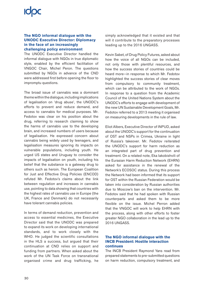### **The NGO informal dialogue with the UNODC Executive Director: Diplomacy in the face of an increasingly challenging policy environment**

The UNODC Executive Director handled the informal dialogue with NGOs in true diplomatic style, enabled by the efficient facilitation of VNGOC Chair, Michel Peron. The questions submitted by NGOs in advance of the CND were addressed first before opening the floor to impromptu questions.

The broad issue of cannabis was a dominant theme within the dialogue, including implications of legalisation on 'drug abuse', the UNODC's efforts to prevent and reduce demand, and access to cannabis for medical purposes. Mr. Fedotov was clear on his position about the drug, referring to research claiming to show the harms of cannabis use to the developing brain, and increased numbers of users because of legalisation. He expressed concern about cannabis being widely used by teenagers, and legalisation measures ignoring its impacts on vulnerable populations, including youth. He urged US states and Uruguay to consider the impacts of legalisation on youth, including his belief that the substance is a gateway drug to others such as heroin. The European Coalition for Just and Effective Drug Policies (ENCOD) refuted Mr. Fedotov's claims about the link between regulation and increases in cannabis use, pointing to data showing that countries with the highest rates of cannabis use in Europe (the UK, France and Denmark) do not necessarily have tolerant cannabis policies.

In terms of demand reduction, prevention and access to essential medicines, the Executive Director said that the UNODC was prepared to expand its work on developing international standards, and to work closely with the WHO. He judged the scientific consultations in the HLS a success, but argued that their continuation at CND relies on support and funding from partners. When asked about the work of the UN Task Force on transnational organised crime and drug trafficking, he

simply acknowledged that it existed and that will it contribute to the preparatory processes leading up to the 2016 UNGASS.

Kevin Sabet, of Drug Policy Futures, asked about how the voice of all NGOs can be included, not only those with plentiful resources, and how the success stories of countries could be heard more—in response to which Mr. Fedotov highlighted the success stories of clear moves from compulsory to community treatment, which can be attributed to the work of NGOs. In response to a question from the Academic Council of the United Nations System about the UNODC's efforts to engage with development of the new UN Sustainable Development Goals, Mr. Fedotov referred to a 2013 meeting it organised on measuring developments in the rule of law.

Eliot Albers, Executive Director of INPUD, asked about the UNODC's support for the continuation of OST and NSPs in Crimea, Ukraine in light of Russia's takeover. Mr. Fedotov reiterated the UNODC's support for harm reduction as an integrated part of drug prevention and treatment. On a related note, Eka Iakobishvili of the Eurasian Harm Reduction Network (EHRN) asked for assistance in the renewal of the Network's ECOSOC status. During this process the Network had been informed that its support for OST within the Russian Federation would be taken into consideration by Russian authorities due to Moscow's ban on the intervention. Mr. Fedotov said that he had spoken with Russian counterparts and asked them to be more flexible on the issue. Michel Perron added that the VNGOC will work to help EHRN with the process, along with other efforts to foster greater NGO collaboration in the lead up to the 2016 UNGASS.

### **The NGO informal dialogue with the INCB President: Hostile interaction continues**

The INCB President Raymond Yans read from prepared statements to pre-submitted questions on harm reduction, compulsory treatment, and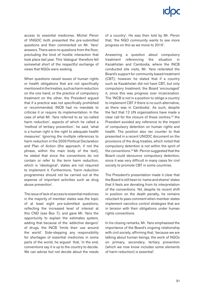access to essential medicines. Michel Peron of VNGOC both presented the pre-submitted questions and then commented on Mr. Yans' answers. There were no questions from the floor, precluding the kind of hostile interaction that took place last year. This 'dialogue' therefore fell somewhat short of the respectful exchange of views that NGOs were seeking.

When questions raised issues of human rights or health obligations that are not specifically mentioned in the treaties, such as harm reduction on the one hand, or the practice of compulsory treatment on the other, the President argued that if a practice was not specifically prohibited or recommended, INCB had no mandate to criticise it or require its implementation. In the case of what Mr. Yans referred to as 'so-called harm reduction', aspects of which he called a 'method of tertiary prevention', he said, 'what is a human right is the right to adequate health measures'. Ignoring the multiple references to harm reduction in the 2009 Political Declaration and Plan of Action (the approach, if not the phrase, within the main body of the text), he stated that since the conventions do not contain or refer to the term harm reduction, which is 'ideological', states are not required to implement it. Furthermore, 'harm reduction programmes should not be carried out at the expense of important activities such as drug abuse prevention'.

The issue of lack of access to essential medicines in the majority of member states was the topic of at least eight pre-submitted questions, reflecting the increased level of interest at this CND (see Box 7), and gave Mr. Yans the opportunity to explain the estimates system, adding that because of the 'addictive dangers' of drugs, the INCB 'limits their use around the world'. Side-stepping any responsibility for shortages of essential medicines in some parts of the world, he argued that, 'in the end, conventions say it is up to the country to decide. We can advise but not decide about the needs of a country'. He was then told by Mr. Peron that, 'the NGO community wants to see more progress on this as we move to 2016'.

Answering a question about compulsory treatment referencing the situation in Kazakhstan and Cambodia, where the INCB conducted site visits, Mr. Yans reiterated the Board's support for community based treatment (CBT); however he stated that if a country such as Kazakhstan did not have CBT, but only compulsory treatment, the Board 'encouraged' it, since this was progress over incarceration. The 'INCB is not in a position to oblige a country to implement CBT if there is no such alternative, as there was in Cambodia'. As such, despite the fact that 12 UN organisations have made a clear call for the closure of these centres,<sup>32</sup> the President avoided any reference to the impact of compulsory detention on human rights and health. The position also ran counter to that presented in a recent UNODC document on the provisions of the drug treaties, which noted that compulsory detention is not within the spirit of the conventions.33 Mr. Perron suggested that the Board could denounce compulsory detention, since it was very difficult in many cases for civil society to promote CBT in some countries.

The President's presentation made it clear that the Board is still keen to 'name and shame' states that it feels are deviating from its interpretation of the conventions. Yet, despite its recent shift in position on the death penalty, he remains reluctant to pass comment when member states implement narcotics control strategies that are in tension with their obligations under human rights conventions.

In his closing remarks, Mr. Yans emphasised the importance of the Board's ongoing relationship with civil society, affirming that, 'because we are talking about human beings, the work of NGOs on primary, secondary, tertiary prevention (which we now know includes some elements of harm reduction) is essential'.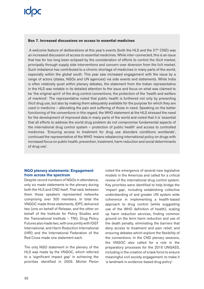### **Box 7. Increased discussions on access to essential medicines**

A welcome feature of deliberations at this year's events (both the HLS and the  $57<sup>th</sup>$  CND) was an increased discussion of access to essential medicines. While inter-connected, this is an issue that has for too long been eclipsed by the consideration of efforts to control the illicit market, principally through supply side interventions and concern over diversion from the licit market. Such imbalance has contributed to a chronic shortage of medicines in many parts of the world, especially within the global south. This year saw increased engagement with the issue by a range of actors (states, NGOs and UN agencies) via side events and statements. While India is often relatively quiet within plenary debates, the statement from the Indian representative in the HLS was notable in its detailed attention to the issue and focus on what was claimed to be 'the original spirit' of the drug control conventions, the protection of the 'health and welfare of mankind'. The representative noted that public health is furthered not only by preventing illicit drug use, but also by making them adequately available for the purpose for which they are used in medicine – alleviating the pain and suffering of those in need. Speaking on the better functioning of the conventions in this regard, the WHO statement at the HLS stressed the need for the development of improved data in many parts of the world and noted that it is 'essential that all efforts to address the world drug problem do not compromise fundamental aspects of the international drug control system – protection of public health' and access to controlled medicines. 'Ensuring access to treatment for drug use disorders conditions worldwide', continued the representative of the WHO 'means rebalancing international policy on drugs with increased focus on public health, prevention, treatment, harm reduction and social determinants of drug use'.

### **NGO plenary statements: Engagement from across the spectrum**

Despite record numbers of NGOs in attendance, only six made statements to the plenary during both the HLS and CND itself. That said, between them these speakers represented networks comprising over 300 members. In total the VNGOC made three statements, IDPC delivered two (one on behalf of Release, and the other on behalf of the Institute for Policy Studies and the Transnational Institute – TNI), Drug Policy Futures also made two, with one jointly with IOGT International, and Harm Reduction International (HRI) and the International Federation of the Red Cross made one statement each.

The only NGO statement in the plenary of the HLS was made by the VNGOC, which referred to a 'significant impact gap' in achieving the priorities identified in 2009. Michel Peron noted the emergence of several new legislative models in the Americas and called for a critical review of the international drug control system. Key priorities were identified to help bridge the 'impact gap', including establishing collective understanding of and greater UN system wide coherence in implementing a health-based approach to drug control (while suggesting use of the WHO definition of health), scaling up harm reduction services, finding common ground on the term harm reduction and use of the death penalty, eliminating the barriers that deny access to treatment and pain relief, and ensuring debates which explore the flexibility of the conventions. In the CND plenary sessions, the VNGOC also called for a role in the preparatory processes for the 2016 UNGASS, including in the creation of a task force to ensure meaningful civil society engagement, to make it 'a landmark in evidence-based drug policy'.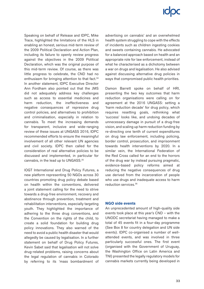Speaking on behalf of Release and IDPC, Mike Trace, highlighted the limitations of the HLS in enabling an honest, serious mid-term review of the 2009 Political Declaration and Action Plan, including its failure to openly review progress against the objectives in the 2009 Political Declaration, which was the original purpose of this mid-term review. Of course, as there was little progress to celebrate, the CND had no enthusiasm for bringing attention to that fact.<sup>34</sup> In another statement, IDPC Executive Director Ann Fordham also pointed out that the JMS did not adequately address key challenges such as access to essential medicines and harm reduction, the ineffectiveness and negative consequences of repressive drug control policies, and alternatives to prohibition and criminalisation, especially in relation to cannabis. To meet the increasing demands for transparent, inclusive and wide-ranging review of these issues at UNGASS 2016, IDPC recommended efforts to ensure the meaningful involvement of all other relevant UN agencies and civil society. IDPC then called for the consideration of real alternative policies to be discussed and implemented, in particular for cannabis, in the lead up to UNGASS.35

IOGT International and Drug Policy Futures, a new platform representing 50 NGOs across 30 countries promoting drug policy debate based on health within the conventions, delivered a joint statement calling for the need to strive towards a drug-free environment, recovery and abstinence through prevention, treatment and rehabilitation interventions, especially targeting youth. They highlighted the importance of adhering to the three drug conventions, and the Convention on the rights of the child, to create a solid foundation for building drug policy innovations. They also warned of the need to avoid a public health disaster that would allegedly be caused by legalisation. In a further statement on behalf of Drug Policy Futures, Kevin Sabet said that legalisation will not solve drug-related problems, raising concerns about the legal regulation of cannabis in Colorado by referring to its 'mass bombardment of advertising on cannabis' and an overwhelmed health system struggling to cope with the effects of incidents such as children ingesting cookies and sweets containing cannabis. He advocated for a balanced approach based on health and an appropriate role for law enforcement, instead of what he characterised as a dichotomy between a war on drugs and legalisation. He also advised against discussing alternative drug policies in ways that compromised public health priorities.

Damon Barrett spoke on behalf of HRI, presenting the two key outcomes that harm reduction organisations were calling on for agreement at the 2016 UNGASS: setting a 'harm reduction decade' for drug policy, which requires resetting goals, rethinking what 'success' looks like, and undoing decades of unnecessary damage in pursuit of a drug-free vision, and scaling up harm reduction funding by re-directing one tenth of current expenditures on drug law enforcement, including policing, border control, prosecution, and imprisonment towards health interventions by 2020. In a similar vein, the International Federation of the Red Cross called for an end to the horrors of the drug war by instead pursuing pragmatic, evidence-based policy reforms aimed at reducing the negative consequences of drug use derived from the incarceration of people who use drugs and inadequate access to harm reduction services.36

### **NGO side events**

An unprecedented amount of high-quality side events took place at this year's CND – with the UNODC secretariat having managed to make a total of 45 events fit in a four-day programme (See Box 8 for country delegation and UN side events). IDPC co-organised a number of wellattended events, and was involved in three particularly successful ones. The first event (organised with the Government of Uruguay, the Washington Office on Latin America and TNI) presented the legally regulatory models for cannabis markets currently being developed in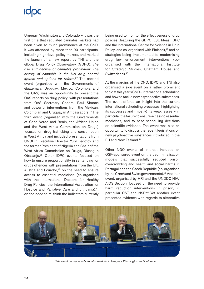# **ICOC**

Uruguay, Washington and Colorado – it was the first time that regulated cannabis markets had been given so much prominence at the CND. It was attended by more than 90 participants, including high-level policy makers, and marked the launch of a new report by TNI and the Global Drug Policy Observatory (GDPO), *The rise and decline of cannabis prohibition: The history of cannabis in the UN drug control system and options for reform.*37 The second event (organised with the Governments of Guatemala, Uruguay, Mexico, Colombia and the OAS) was an opportunity to present the OAS reports on drug policy, with presentations from OAS Secretary General Paul Simons and powerful interventions from the Mexican, Colombian and Uruguayan Ambassadors.38 The third event (organised with the Governments of Cabo Verde and Benin, the African Union and the West Africa Commission on Drugs) focused on drug trafficking and consumption in West Africa and included presentations from UNODC Executive Director Yury Fedotov and the former President of Nigeria and Chair of the West Africa Commission on Drugs, Olusegun Obasanjo.39 Other IDPC events focused on how to ensure proportionality in sentencing for drugs offences with presentations from the UK, Austria and Ecuador,<sup>40</sup> on the need to ensure access to essential medicines (co-organised with the International Doctors for Healthy Drug Policies, the International Association for Hospice and Palliative Care and Lithuania),<sup>41</sup> on the need to re-think the indicators currently being used to monitor the effectiveness of drug policies (featuring the GDPO, LSE Ideas, IDPC and the International Centre for Science in Drug Policy, and co-organised with Finland),<sup>42</sup> and on strategies being implemented to modernising drug law enforcement interventions (coorganised with the International Institute for Strategic Studies, Chatham House and Switzerland).<sup>43</sup>

At the margins of the CND, IDPC and TNI also organised a side event on a rather prominent topic at this year's CND – international scheduling and how to tackle new psychoactive substances. The event offered an insight into the current international scheduling processes, highlighting its successes and (mostly) its weaknesses – in particular the failure to ensure access to essential medicines, and to base scheduling decisions on scientific evidence. The event was also an opportunity to discuss the recent legislations on new psychoactive substances introduced in the EU and New Zealand.44

Other NGO events of interest included an OSF-sponsored event on the decriminalisation models that successfully reduced prison overcrowding and health and social harms in Portugal and the Czech Republic (co-organised by the Czech and Swiss governments).45 Another event, organised by HRI and the UNODC HIV/ AIDS Section, focused on the need to provide harm reduction interventions in prison, in particular OST and NSP.46 Yet another event presented evidence with regards to alternative



*Side event on regulated cannabis markets in Uruguay, Washington and Colorado*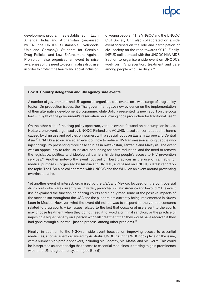

development programmes established in Latin America, India and Afghanistan (organised by TNI, the UNODC Sustainable Livelihoods Unit and Germany). Students for Sensible Drug Policies and Law Enforcement Against Prohibition also organised an event to raise awareness of the need to decriminalise drug use in order to protect the health and social inclusion

of young people.47 The VNGOC and the UNODC Civil Society Unit also collaborated on a side event focused on the role and participation of civil society on the road towards 2019. Finally, INPUD collaborated with the UNODC HIV/AIDS Section to organise a side event on UNODC's work on HIV prevention, treatment and care among people who use drugs.<sup>48</sup>

### **Box 8. Country delegation and UN agency side events**

A number of governments and UN agencies organised side events on a wide range of drug policy topics. On production issues, the Thai government gave new evidence on the implementation of their alternative development programme, while Bolivia presented its new report on the coca leaf – in light of the government's reservation on allowing coca production for traditional use. $49$ 

On the other side of the drug policy spectrum, various events focused on consumption issues. Notably, one event, organised by UNODC, Finland and ACUNS, raised concerns about the harms caused by drug use and policies on women, with a special focus on Eastern Europe and Central Asia.<sup>50</sup> UNAIDS also organised an event on how to reduce HIV transmission among people who inject drugs, by presenting three case studies in Kazakhstan, Tanzania and Malaysia. The event was an opportunity to raise issues around funding for harm reduction, and the need to remove the legislative, political and ideological barriers hindering people's access to HIV prevention services.<sup>51</sup> Another noteworthy event focused on best practices in the use of cannabis for medical purposes – organised by Austria and UNODC, and based on UNODC's latest report on the topic. The USA also collaborated with UNODC and the WHO on an event around preventing overdose deaths.

Yet another event of interest, organised by the USA and Mexico, focused on the controversial drug courts which are currently being widely promoted in Latin America and beyond.<sup>52</sup> The event itself explained the functioning of drug courts and highlighted some of the positive impacts of the mechanism throughout the USA and the pilot project currently being implemented in Nuevo Leon in Mexico. However, what the event did not do was to respond to the various concerns related to drug courts – i.e. issues related to the fact that occasional users sent to the courts may choose treatment when they do not need it to avoid a criminal sanction, or the practice of imposing a higher penalty on a person who fails treatment than they would have received if they had gone through a 'normal' justice process, among other problems.<sup>53</sup>

Finally, in addition to the NGO-run side event focused on improving access to essential medicines, another event organised by Australia, UNODC and the WHO took place on the issue, with a number high profile speakers, including Mr. Fedotov, Ms. Mathai and Mr. Gerra. This could be interpreted as another sign that access to essential medicines is starting to gain prominence within the UN drug control system (see Box 6).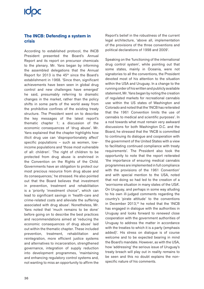## **ICOC**

## **The INCB: Defending a system in crisis**

According to established protocol, the INCB President presented the Board's Annual Report and its report on precursor chemicals to the plenary. Mr. Yans began by informing the assembled delegations that the Annual Report for 2013 is the  $45<sup>th</sup>$  since the Board's establishment in 1968. 'Since then, significant achievements have been seen in global drug control and new challenges have emerged' he said, presumably referring to dramatic changes in the market, rather than the policy shifts in some parts of the world away from the prohibitive confines of the existing treaty structure. The President went on to describe the key messages of the latest report's thematic chapter 1; a discussion of the economic consequences of 'drug abuse'. Mr. Yans explained that the chapter highlights how illicit drug use can 'disproportionately affect' specific populations – such as women, lowincome populations and 'those most vulnerable of all: children'. 'The right of children to be protected from drug abuse is enshrined in the Convention on the Rights of the Child. Governments have an obligation to protect our most precious resource from drug abuse and its consequences,' he stressed. He also pointed out that the Board believes that investment in prevention, treatment and rehabilitation is a 'priority 'investment choice'', which can lead to significant savings in 'health-care and crime-related costs and alleviate the suffering associated with drug abuse'. Nonetheless, Mr. Yans noted that 'much remains to be done' before going on to describe the best practices and recommendations aimed at 'reducing the economic consequences of drug abuse' laid out within the thematic chapter. These included prevention, treatment, rehabilitation and reintegration, more efficient justice systems and alternatives to incarceration, strengthened governance, integration of supply reduction into development programmes, 'maintaining and enhancing regulatory control systems and, not wanting to miss an opportunity to affirm the Report's belief in the robustness of the current legal architecture, 'above all, implementation of the provisions of the three conventions and political declarations of 1998 and 2009'.

Speaking on the 'functioning of the international drug control system', while pointing out that some states, mainly in Oceania, were not signatories to all the conventions, the President devoted most of his attention to the situation within the USA and Uruguay. In a change to the running order of his written and publicly available statement, Mr. Yans began by noting the creation of regulated markets for recreational cannabis use within the US states of Washington and Colorado and noted that the 'INCB has reiterated that the 1961 Convention limits the use of cannabis to medical and scientific purposes'. In a nod towards what must remain very awkward discussions for both Washington D.C. and the Board, he stressed that the 'INCB is committed to continuing its dialogue and cooperation with the government of the United States with a view to facilitating continued compliance with treaty requirements'. The President also took the opportunity to note that the report reiterated 'the importance of ensuring medical cannabis programmes are implemented in full compliance with the provisions of the 1961 Convention' and with special mention to the USA, noted that not doing so had led to the creation of a 'worrisome situation in many states of the USA'. On Uruguay, and perhaps in some way alluding to his own ill-judged comments regarding the country's 'pirate attitude' to the conventions in December 2013,<sup>54</sup> he noted that the 'INCB has engaged in dialogue with the authorities in Uruguay and looks forward to *renewed* close cooperation with the government authorities of Uruguay to address the matter in accordance with the treaties to which it is a party (emphasis added)'. His stress on dialogue is of course welcome and to be expected bearing in mind the Board's mandate. However, as with the USA, how 'addressing' the serious issue of Uruguay's treaty breach will play out in reality remains to be seen and this no doubt explains the nonspecific nature of his comments.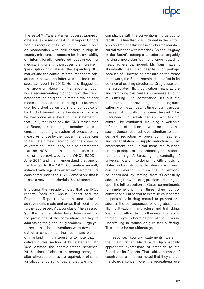# **ICIOC**

The rest of Mr. Yans' statement covered a range of other issues raised in the Annual Report. Of note was his mention of the value the Board places on 'cooperation with civil society' during its country missions, its concern for the availability of internationally controlled substances for medical and scientific purposes, the increase in 'prescription drug abuse', the expanding NPS market and the control of precursor chemicals; as noted above, the latter was the focus of a separate report in 2013. He also flagged up the growing 'abuse' of tramadol, although while recommending monitoring of the trend, noted that the drug should remain available for medical purposes. In mentioning illicit ketamine use, he picked up on the rhetorical device of his HLS statement by deliberately noting - as he had done elsewhere in the statement – that 'you', that is to say the CND rather than the Board, had encouraged member states to consider adopting a system of precautionary measures for use by their government agencies to facilitate timely detection of the diversion of ketamine'. Intriguingly, he also commented that the INCB notes that the substance is on the list to be reviewed by the WHO's ECDD in June 2014 and that 'I understand that one of the Parties to the 1971 Convention recently initiated, with regard to ketamine' the procedure considered under the 1971 Convention; that is to say, a move to reschedule the substance.

In closing, the President noted that the INCB reports (both the Annual Report and the Precursors Report) serve as a 'stock take' of achievements made and areas that need to be further addressed. 'As a conclusion' he stressed, '*you* the member states have determined that the provisions of the conventions are key to addressing the global drug problem. I urge you to recall that the conventions were developed out of a concern for the health and welfare of mankind'. It is interesting to note that in delivering this section of his statement, Mr. Yans omitted the context-setting sentence: 'At this time of discussion, among some, that alternative approaches are required, or of some jurisdictions pursuing paths that are not in compliance with the conventions, I urge you to recall…'; a line that was included in the written version. Perhaps this was in an effort to maintain cordial relations with both the USA and Uruguay in the Board's attempts to 'address' arguably its single most significant challenge regarding treaty adherence. Indeed, Mr. Yans made it abundantly clear that, despite – or perhaps because of – increasing pressure on the treaty framework, the Board remained steadfast in its defence of existing structures. 'Drug abuse and the associated illicit cultivation, manufacture and trafficking can cause an immense amount of suffering. The conventions set out the requirements for preventing and reducing such suffering while at the same time ensuring access to essential controlled medicines', he said. 'This is founded upon a balanced approach to drug control', he continued. Including a welcome refinement of position he went on to say that such balance required 'due attention to both demand reduction – prevention, treatment and rehabilitation – supply reduction – law enforcement and judicial measures founded on the principle of proportionality and respect for human rights'. Stressing the centrality of universality, and in so doing implicitly criticising states and jurisdictions that deviate – or even consider deviation – from the conventions, he concluded by stating that: 'Successfully addressing the world drug problem is contingent upon the full realization of States' commitments to implementing the three drug control conventions. I urge you to exercise your shared responsibility in drug control to prevent and address the consequences of drug abuse and illicit cultivation, manufacture and trafficking. We cannot afford to do otherwise. I urge you to step up your efforts as part of the universal undertaking to reduce drug related suffering. This should be our ultimate goal.'

In response, country statements were in the main rather bland and diplomatically appropriate expressions of gratitude to the Board for its Reports. That said, a number of country representatives noted that they shared the Board's concern over the recreational use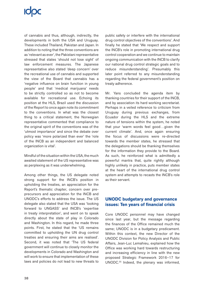# **IODC**

of cannabis and thus, although, indirectly, the developments in both the USA and Uruguay. These included Thailand, Pakistan and Japan. In addition to noting that the three conventions are as 'relevant as ever', the Pakistani representative stressed that states 'should not lose sight' of law enforcement measures. The Japanese representative also stated 'deep concern' over the recreational use of cannabis and supported the view of the Board that cannabis has a 'negative influence on brain function in young people' and that 'medical marijuana' needs to be strictly controlled so as not to become available for recreational use. Echoing its position at the HLS, Brazil used the discussion of the Report to once again note its commitment to the conventions. In what was the closest thing to a critical statement, the Norwegian representative commented that compliance to the original spirit of the conventions was of the 'utmost importance' and since the debate over policy was 'more polarized than ever' the 'role of the INCB as an independent and balanced organization is vital'.

Mindful of the situation within the USA, the much awaited statement of the US representative was as perplexing as it was underwhelming.

Among other things, the US delegate noted strong support for the INCB's position in upholding the treaties, an appreciation for the Report's thematic chapter, concern over preprecursors and appreciation for the INCB and UNODC's efforts to address the issue. The US delegate also stated that the USA was 'looking forward to UNGASS' and INCB's 'expertise in treaty interpretation', and went on to speak directly about the state of play in Colorado and Washington. In this regard, he made three points. First, he stated that the 'US remains committed to upholding the UN drug control treaties and ensuring their aims are realised'. Second, it was noted that 'The US federal government will continue to closely monitor the developments in Colorado and Washington and will work to ensure that implementation of these laws and policies do not lead to new threats to public safety or interfere with the international drug control objectives of the conventions'. And finally he stated that 'We respect and support the INCB's role in promoting international drug control cooperation and we continue to maintain ongoing communication with the INCB to clarify our national drug control strategic goals and to reduce misunderstanding'. Presumably this later point referred to any misunderstanding regarding the federal government's position on treaty adherence.

Mr. Yans concluded the agenda item by thanking countries for their support of the INCB, and by association its hard working secretariat. Perhaps in a veiled reference to criticism from Uruguay during previous exchanges, from Ecuador during the HLS and the extreme nature of tensions within the system, he noted that your 'warm words feel good…given the current climate'. And, once again ensuring the focus of discussions were re-directed towards the member states, he stressed that the delegations should be thanking themselves for the information they provide to the Board. As such, he reinforced what is admittedly a powerful mantra that, quite rightly although highly unlikely in practice, puts member states at the heart of the international drug control system and attempts to recasts the INCB's role as their servant.

## **UNODC budgetary and governance issues: Ten years of financial crisis**

Core UNODC personnel may have changed since last year, but the message regarding the finances of the Office remained much the same; UNODC is in a budgetary predicament. Within this context, the new Director of the UNODC Division for Policy Analysis and Public Affairs, Jean-Luc Lemahieu, explained how the Office was working hard towards restructuring and increasing efficiency in line with the new proposed Strategic Framework 2016–17 for UNODC.55 Indeed, the plenary was informed,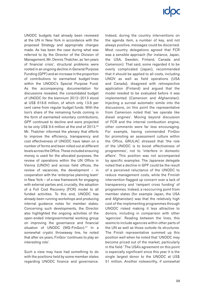# **ICIOC**

UNODC budgets had already been reviewed at the UN in New York in accordance with the proposed Strategy and appropriate changes made. As has been the case during what was referred to by the Director of the Division of Management, Mr. Dennis Thatcher, as 'ten years of financial crisis', structural problems were rooted in an ongoing decline in General Purpose Funding (GPF) and an increase in the proportion of contributions to earmarked budget-lines within the UNODC's Special Purpose Fund. As the accompanying documentation for discussions revealed, the consolidated budget of UNODC for the biennium 2012–2013 stood at US\$ 618.8 million, of which only 13.8 per cent came from regular budget funds. With the lion's share of the remaining funds coming in the form of earmarked voluntary contributions, GPF continued to decline and were projected to be only US\$ 9.4 million at the end of 2013.<sup>56</sup> Mr. Thatcher informed the plenary that efforts to improve the efficiency, transparency and cost effectiveness of UNODC have taken on a number of forms and been rolled out at different levels across the Office. These included ensuring money is used for the allocated purposes, the review of operations within the UN Office in Vienna (UNOV) and across field offices, the review of vacancies, the development – in cooperation with the 'enterprise planning team' in New York – of a new framework for engaging with external parties and, crucially, the adoption of a Full Cost Recovery (FCR) model to all funded activities. To this end, UNODC has already been running workshops and producing internal guidance notes for member states. Concerning such developments, the Director also highlighted the ongoing activities of the open-ended intergovernmental working group on improving the governance and financial situation of UNODC (WG-FinGov).<sup>57</sup> In a somewhat cryptic throwaway line, he noted that after six years, FinGov 'continues to play an interesting role'.

Such a view may have had something to do with the positions held by some member states regarding UNODC finance and governance. Indeed, during the country interventions on the agenda item, a number of key, and not always positive, messages could be discerned. Most country delegations agreed that FCR was a sensible approach (for instance, Japan, the USA, Sweden, Finland, Canada and Cameroon). That said, some regarded it to be overly complicated (Japan), recommended that it should be applied to all costs, including UNOV as well as field operations (USA and Canada), disagreed with retrospective application (Finland) and argued that the model needed to be evaluated before it was implemented (Cameroon and Afghanistan). Injecting a surreal automatic simile into the discussions, on this point the representative from Cameroon noted that 'we operate like diesel engines'. Moving beyond discussion of FCR and the internal combustion engine, other comments were far less encouraging. For example, having commended FinGov for promoting an assessment culture within the Office, GRULAC stressed that 'the role of the UNODC is to boost effectiveness of programmes', not to 'interfere in domestic affairs'. This position was not accompanied by specific examples. The Japanese delegate noted that a decline in GPF could be the result of a perceived reluctance of the UNODC to reduce management costs, while the Finnish intervention flagged up concern over a lack of transparency and 'rampant cross funding' of programmes. Indeed, a reoccurring point from member states (for example Japan, the USA and Afghanistan) was that the relatively high cost of the implementing programmes through UNODC risked making it less attractive to donors, including in comparison with other 'agencies'. Reading between the lines, this seems to include agencies within other parts of the UN as well as those outside its structures. The Finish representative summed up this position well when he noted that 'UNODC may become priced out of the market, particularly in the field.' The USA's agreement on this point is especially significant since this year it is the single largest donor to the UNODC at US\$ 51 million. Another noteworthy, if somewhat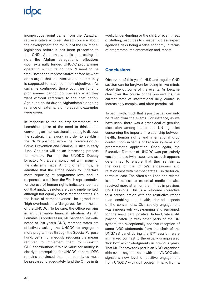# **ICOC**

incongruous, point came from the Canadian representative who registered concern about the development and roll out of the UN model legislation before it has been presented to the CND. Additionally, it is interesting to note the Afghan delegation's reflections upon externally funded UNODC programmes operating within its country. 'I need to be frank' noted the representative before he went on to argue that the international community is supposed to have 'common objectives'. As such, he continued, those countries funding programmes cannot do precisely what they want without reference to the host nation. Again, no doubt due to Afghanistan's ongoing reliance on external aid, no specific examples were given.

In response to the country statements, Mr. Lemahieu spoke of the need to think about convening an inter-sessional meeting to discuss the strategic framework in order to establish the CND's position before the Commission on Crime Prevention and Criminal Justice in early June. And this will be an interesting process to monitor. Further, the UNODC Deputy Director, Mr. Elders, concurred with many of the criticisms made. Among other things, he admitted that the Office needs to undertake more reporting at programme level and, in response to a call from the Finish representative for the use of human rights indicators, pointed out that guidance notes are being implemented, although not equally across member states. On the issue of competitiveness, he agreed that 'high overheads' are 'dangerous for the health of the UNODC'. To be sure, the Office remains in an unenviable financial situation. As Mr. Lemahieu's predecessor, Mr. Sandeep Chawala, noted at last year's CND, member states are effectively asking the UNODC to engage in more programmes through the Special Purpose Fund, yet simultaneously reducing the means required to implement them by shrinking GPF contributions.58 While value for money is clearly a prerequisite for UNODC donors, IDPC remains convinced that member states must be prepared to adequately fund the Office in its

work. Under-funding or the shift, or even threat of shifting, resources to cheaper but less expert agencies risks being a false economy in terms of programme implementation and impact.

## **Conclusions**

Observers of this year's HLS and regular CND session can be forgiven for being in two minds about the outcome of the events. As became clear over the course of the proceedings, the current state of international drug control is increasingly complex and often paradoxical.

To begin with, much that is positive can certainly be taken from the events. For instance, as we have seen, there was a great deal of genuine discussion among states and UN agencies concerning the important relationship between health, human rights and international drug control; both in terms of broader systems and programmatic application. Once again, the Executive Director of UNODC was particularly vocal on these twin issues and as such appears determined to ensure that they remain at the core of the Office's endeavours and relationships with member states – in rhetorical terms at least. The often side-lined and related issue of access to essential medicines also received more attention than it has in previous CND sessions. This is a welcome corrective to a preoccupation with the restrictive rather than enabling and health-oriented aspects of the conventions. Civil society engagement was impressively wide-ranging and remained, for the most part, positive. Indeed, while still playing catch-up with other parts of the UN system, the exceptionally positive reception of some NGO statements from the chair of the UNGASS panel during the  $57<sup>th</sup>$  session, were in marked contrast to the usually unimpressed 'tick box' acknowledgments in previous years. That Mr. Fedotov took part in an NGO-organised side event beyond those with the VNGOC also signals a new level of positive engagement from UNODC with civil society. Finally, from a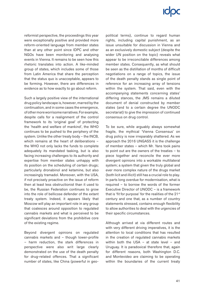reformist perspective, the proceedings this year were exceptionally positive and provided more reform-oriented language from member states than at any other point since IDPC and other NGOs have been monitoring and analysing events in Vienna. It remains to be seen how this rhetoric translates into action. A like-minded group of states, which includes some of those from Latin America that share the perception that the status quo is unacceptable, appears to be forming. However, there are differences in evidence as to how exactly to go about reform.

Such a largely positive view of the international drug policy landscape is, however, marred by the continuation, and in some cases the emergence, of other more worrisome narratives. For example, despite calls for a realignment of the control framework to its 'original goal' of protecting the 'health and welfare of mankind', the WHO continues to be pushed to the periphery of the system. Unlike the other treaty body – the INCB, which remains at the heart of deliberations – the WHO not only lacks the funds to complete adequately its mandated tasking, but is also facing increasing challenges to its authority and expertise from member states unhappy with its position on the scheduling of certain drugs; particularly dronabinol and ketamine, but also increasingly tramadol. Moreover, with the USA, if not precisely proactive on the issue of reform then at least less obstructionist than it used to be, the Russian Federation continues to grow into the role of bellicose defender of the extant treaty system. Indeed, it appears likely that Moscow will play an important role in any group that coalesces around opposition to regulated cannabis markets and what is perceived to be significant deviations from the prohibitive core of the existing regime.

Beyond divergent opinions on regulated cannabis markets and – though lower-profile – harm reduction, the stark differences in perspective were also writ large clearly demonstrated on the use of the death penalty for drug-related offences. That a significant number of states, like China (powerful in geopolitical terms), continue to regard human rights, including capital punishment, as an issue unsuitable for discussion in Vienna and as an exclusively domestic subject (despite the wider UN position on the topic) reveals what appear to be irreconcilable differences among member states. Consequently, as what should be seen as the distillation of months of difficult negotiations on a range of topics, the issue of the death penalty stands as single point of reference for an increasing array of tensions within the system. That said, even with the accompanying statements concerning states' differing stances, the JMS remains a diluted document of denial constructed by member states (and to a certain degree the UNODC secretariat) to give the impression of continued consensus on drug control.

To be sure, while arguably always somewhat fragile, the mythical 'Vienna Consensus' on drug policy is now irreparably shattered. As we approach the 2016 UNGASS it is the challenge of member states – which Mr. Yans took pains to point out are the owners of the treaties – to piece together and reconcile the ever more divergent opinions into a workable multilateral system; a system that given the truly global and ever more complex nature of the drugs market (both licit and illicit) still has a crucial role to play. In parts long overdue for modernisation, what is required – to borrow the words of the former Executive Director of UNODC – is a framework that is 'fit for purpose' for the realities of the 21<sup>st</sup> century and one that, as a number of country statements stressed, contains enough flexibility to allow authorities to deal with the urgencies of their specific circumstances.

Although arrived at via different routes and with very different driving imperatives, it is the attention to local conditions that has resulted in the creation of regulated cannabis markets within both the USA – at state level – and Uruguay. It is paradoxical therefore that, again for different reasons, both Washington D.C. and Montevideo are claiming to be operating within the boundaries of the current treaty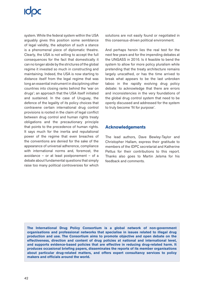system. While the federal system within the USA arguably gives this position some semblance of legal validity, the adoption of such a stance is a phenomenal piece of diplomatic theatre. Clearly, the USA is not willing to accept the full consequences for the fact that domestically it can no longer abide by the strictures of the global regime it invested so much in constructing and maintaining. Indeed, the USA is now starting to distance itself from the legal regime that was long an essential instrument in disciplining other countries into closing ranks behind the 'war on drugs'; an approach that the USA itself initiated and sustained. In the case of Uruguay, the defence of the legality of its policy choices that contravene certain international drug control provisions is rooted in the claim of legal conflict between drug control and human rights treaty obligations and the precautionary principle that points to the precedence of human rights. It says much for the inertia and reputational power of the regime that even breaches of the conventions are denied for the sake of the appearance of universal adherence, compliance with international norms and, foremost, the avoidance – or at least postponement – of a debate about fundamental questions that simply raise too many political controversies for which

solutions are not easily found or negotiated in this consensus-driven political environment.

And perhaps herein lies the real test for the next few years and for the impending debates at the UNGASS in 2016. Is it feasible to bend the system to allow for more policy pluralism while pretending that the treaty architecture remains largely unscathed, or has the time arrived to break what appears to be the last unbroken taboo in the rapidly evolving drug policy debate: to acknowledge that there are errors and inconsistencies in the very foundations of the global drug control system that need to be openly discussed and addressed for the system to truly become 'fit for purpose'.

## **Acknowledgements**

The lead authors, Dave Bewley-Taylor and Christopher Hallam, express their gratitude to members of the IDPC secretariat and Katherine Pettus for their contributions to this report. Thanks also goes to Martin Jelsma for his feedback and comments.

**The International Drug Policy Consortium is a global network of non-government organisations and professional networks that specialise in issues related to illegal drug production and use. The Consortium aims to promote objective and open debate on the effectiveness, direction and content of drug policies at national and international level, and supports evidence-based policies that are effective in reducing drug-related harm. It produces occasional briefing papers, disseminates the reports of its member organisations about particular drug-related matters, and offers expert consultancy services to policy makers and officials around the world.**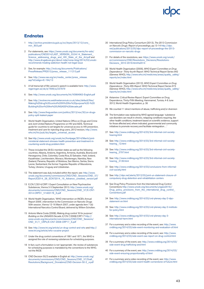## **Endnotes**

- 1 [http://archivo.presidencia.gub.uy/sci/leyes/2013/12/cons\\_](http://archivo.presidencia.gub.uy/sci/leyes/2013/12/cons_min_803.pdf) [min\\_803.pdf](http://archivo.presidencia.gub.uy/sci/leyes/2013/12/cons_min_803.pdf)
- 2 For statements, see: [https://www.unodc.org/documents/hiv-aids/](https://www.unodc.org/documents/hiv-aids/publications/CND2014/LAST_VERSION_03.04.14_Statement_Science_addressing_drugs_and_HIV_State_of_the_Art.pdf) publications/CND2014/LAST\_VERSION\_03.04.14\_Statement Science addressing drugs\_and\_HIV\_State\_of\_the\_Art.pdf and [http://www.drugabuse.gov/about-nida/noras-blog/2014/03/unodc](http://www.drugabuse.gov/about-nida/noras-blog/2014/03/unodc-recommends-treating-addiction-health-not-legal-issue)[recommends-treating-addiction-health-not-legal-issue](http://www.drugabuse.gov/about-nida/noras-blog/2014/03/unodc-recommends-treating-addiction-health-not-legal-issue)
- 3 See, for example: [http://incb.org/documents/Publications/](http://incb.org/documents/Publications/PressRelease/PR2013/press_release_111213.pdf) [PressRelease/PR2013/press\\_release\\_111213.pdf](http://incb.org/documents/Publications/PressRelease/PR2013/press_release_111213.pdf)
- 4 See: [http://www.oas.org/en/media\\_center/press\\_release.](http://www.oas.org/en/media_center/press_release.asp?sCodigo=E-194/13) [asp?sCodigo=E-194/13](http://www.oas.org/en/media_center/press_release.asp?sCodigo=E-194/13)
- 5 A full transcript of Ms Larsson's speech is available here: [http://www.](http://www.regeringen.se/sb/d/7699/a/237879) [regeringen.se/sb/d/7699/a/237879](http://www.regeringen.se/sb/d/7699/a/237879)
- 6 See:<http://www.unodc.org/documents/hlr/V0984963-English.pdf>
- 7 See: [http://evolvecms.webfreelancersuk.co.uk/sites/default/files/](http://evolvecms.webfreelancersuk.co.uk/sites/default/files/Making%20drug%20control%20fit%20for%20purpose%20-%20Building%20on%20the%20UNGASS%20decade.pdf) [Making%20drug%20control%20fit%20for%20purpose%20-%20](http://evolvecms.webfreelancersuk.co.uk/sites/default/files/Making%20drug%20control%20fit%20for%20purpose%20-%20Building%20on%20the%20UNGASS%20decade.pdf) [Building%20on%20the%20UNGASS%20decade.pdf](http://evolvecms.webfreelancersuk.co.uk/sites/default/files/Making%20drug%20control%20fit%20for%20purpose%20-%20Building%20on%20the%20UNGASS%20decade.pdf)
- 8 See: [http://www.theguardian.com/politics/2013/nov/30/un-drugs](http://www.theguardian.com/politics/2013/nov/30/un-drugs-policy-split-leaked-paper)[policy-split-leaked-paper](http://www.theguardian.com/politics/2013/nov/30/un-drugs-policy-split-leaked-paper)
- 9 World Health Organisation, United Nations Office on Drugs and Crime and Joint United Nations Programme on HIV and AIDS, Technical guide for countries to set targets for univer*sal access to HIV prevention, treatment and care for injecting drug users, 2012 revision, ht*[tp://www.](http://www.who.int/hiv/pub/idu/targets_universal_access) [who.int/hiv/pub/idu/targets\\_universal\\_access](http://www.who.int/hiv/pub/idu/targets_universal_access)
- 10 See [http://www.unodc.org/unodc/en/frontpage/2014/March/joint](http://www.unodc.org/unodc/en/frontpage/2014/March/joint-ministerial-statement-stresses-health-prevention-and-treatment-in-countering-world-drug-problem.html)[ministerial-statement-stresses-health-prevention-and-treatment-in](http://www.unodc.org/unodc/en/frontpage/2014/March/joint-ministerial-statement-stresses-health-prevention-and-treatment-in-countering-world-drug-problem.html)[countering-world-drug-problem.html](http://www.unodc.org/unodc/en/frontpage/2014/March/joint-ministerial-statement-stresses-health-prevention-and-treatment-in-countering-world-drug-problem.html)
- 11 These included the 28 EU member states as well as the following countries; Albania, Andorra, Argentina, Armenia, Australia, Bosnia and Herzegovina, Chile, Colombia, Costa Rica, El Salvador, Haiti, Iceland, Kazakhstan, Liechtenstein, Monaco, Montenegro, Namibia, New Zealand, Panama, Republic of Moldova, San Marino, Serbia, Sierra Leone, Switzerland, the former Yugoslav Republic of Macedonia, Turkey, Ukraine, Uruguay and Uzbekistan.
- 12 The statement was duly included within the report, see: [http://www.](http://www.unodc.org/documents/commissions/CND/CND_Sessions/CND_57/Report/E2014_28_ECN72014_16_Advance_unedited_version.pdf) [unodc.org/documents/commissions/CND/CND\\_Sessions/CND\\_57/](http://www.unodc.org/documents/commissions/CND/CND_Sessions/CND_57/Report/E2014_28_ECN72014_16_Advance_unedited_version.pdf) [Report/E2014\\_28\\_ECN72014\\_16\\_Advance\\_unedited\\_version.pdf](http://www.unodc.org/documents/commissions/CND/CND_Sessions/CND_57/Report/E2014_28_ECN72014_16_Advance_unedited_version.pdf)
- 13 E.CN.7/2014/CRP.1 Expert Consultation on New Psychoactive Substances, Vienna 3-5 September 2013. [http://www.unodc.org/](http://www.unodc.org/documents/commissions/CND/CND_Sessions/CND_57/E-CN7-2014-CRP01_V1400178_E.pdf ) [documents/commissions/CND/CND\\_Sessions/CND\\_57/E-CN7-](http://www.unodc.org/documents/commissions/CND/CND_Sessions/CND_57/E-CN7-2014-CRP01_V1400178_E.pdf ) [2014-CRP01\\_V1400178\\_E.pdf](http://www.unodc.org/documents/commissions/CND/CND_Sessions/CND_57/E-CN7-2014-CRP01_V1400178_E.pdf )
- 14 World Health Organisation, 'WHO intervention on INCB's Annual Report 2006', intervention to the Commission on Narcotic Drugs 50th session, Vienna 12-16 March 2007, under agenda item 7 (b) International Narcotics Control Board, delivered by Willem Scholten.
- 15 Antonio Maria Costa (2008), Making drug control '*fit for purpose': Building on the UNGASS Decade, E/CN.7/2008/CRP.17* [http://](http://www.unodc.org/documents/commissions/CND/CND_Sessions/CND_51/1_CRPs/E-CN7-2008-CRP17_E.pdf) [www.unodc.org/documents/commissions/CND/CND\\_Sessions/](http://www.unodc.org/documents/commissions/CND/CND_Sessions/CND_51/1_CRPs/E-CN7-2008-CRP17_E.pdf) [CND\\_51/1\\_CRPs/E-CN7-2008-CRP17\\_E.pdf](http://www.unodc.org/documents/commissions/CND/CND_Sessions/CND_51/1_CRPs/E-CN7-2008-CRP17_E.pdf)
- 16 See:<http://www.tni.org/article/un-drug-control-and-who>and [http://](http://www.tni.org/article/who-cocaine-project) [www.tni.org/article/who-cocaine-project](http://www.tni.org/article/who-cocaine-project)
- 17 Under the drug control conventions of 1961 and 1971, the WHO is assigned the role of reviewing substances for scheduling purposes.
- 18 In fact, such a formulation is not 'appropriate', the review of substances for scheduling purposes is mandated by the conventions to the WHO, not the INCB.
- 19 CND Decision 50/2 available in English at: [http://www.unodc.org/](http://www.unodc.org/documents/commissions/CND/CND_Sessions/CND_57/Draft_Resolutions/Background_Dronabinol/CND-Decision-50-2_e.pdf) [documents/commissions/CND/CND\\_Sessions/CND\\_57/Draft\\_](http://www.unodc.org/documents/commissions/CND/CND_Sessions/CND_57/Draft_Resolutions/Background_Dronabinol/CND-Decision-50-2_e.pdf) [Resolutions/Background\\_Dronabinol/CND-Decision-50-2\\_e.pdf](http://www.unodc.org/documents/commissions/CND/CND_Sessions/CND_57/Draft_Resolutions/Background_Dronabinol/CND-Decision-50-2_e.pdf)
- 20 International Drug Policy Consortium (2013), *The 2013 Commission on Narcotic Drugs: Report of proceedings,* pp.13-14 [http://idpc.](http://idpc.net/publications/2013/05/idpc-report-of-proceedings-the-2013-commission-on-narcotic-drugs) [net/publications/2013/05/idpc-report-of-proceedings-the-2013](http://idpc.net/publications/2013/05/idpc-report-of-proceedings-the-2013-commission-on-narcotic-drugs) [commission-on-narcotic-drugs](http://idpc.net/publications/2013/05/idpc-report-of-proceedings-the-2013-commission-on-narcotic-drugs)
- 21 For details of the resolutions, see: https://www.unodc.org/unodc/ en/commissions/CND/Resolutions\_Decisions/Resolutions-Decisions\_2010-2019.html#a2014
- 22 World Health Organisation (2006), *WHO Expert Committee on Drug Dependence- Thirty-fourth Report.* WHO Technical Report Series 942 (Geneva: WHO), [http://www.who.int/medicines/areas/quality\\_safety/](http://www.who.int/medicines/areas/quality_safety/reports/en/index.html) [reports/en/index.html](http://www.who.int/medicines/areas/quality_safety/reports/en/index.html)
- 23 World Health Organisation (2012), *WHO Expert Committee on Drug Dependence- Thirty-fifth Report.* WHO Technical Report Series 973 (Geneva: WHO), [http://www.who.int/medicines/areas/quality\\_safety/](http://www.who.int/medicines/areas/quality_safety/reports/en/index.html) [reports/en/index.html](http://www.who.int/medicines/areas/quality_safety/reports/en/index.html)
- 24 *Ketamine: Critical Review Report.* Expert Committee on Drug Dependence, Thirty-Fifth Meeting, Hammamet, Tunisia, 4-8 June 2012, World Health Organisation, p. 36
- 25 We counted 11 direct mentions of abuse, trafficking and/or diversion
- 26 The formulation was replaced by WHO agreed language: 'substance use disorders can result in chronic, relapsing conditions requiring, like other health conditions, treatment based on scientific evidence, support for those affected and, where indicated, governmental and community initiatives to promote recovery and facilitate reintegration…'
- 27 See: [http://www.cndblog.org/2014/03/3rd-informal-civil-society](http://www.cndblog.org/2014/03/3rd-informal-civil-society-hearing.html)[hearing.html](http://www.cndblog.org/2014/03/3rd-informal-civil-society-hearing.html)
- 28 See: [http://www.cndblog.org/2014/03/3rd-informal-civil-society](http://www.cndblog.org/2014/03/3rd-informal-civil-society-hearing_12.html)[hearing\\_12.html](http://www.cndblog.org/2014/03/3rd-informal-civil-society-hearing_12.html)
- 29 See: [http://www.cndblog.org/2014/03/3rd-informal-civil-society](http://www.cndblog.org/2014/03/3rd-informal-civil-society-hearing_3797.html)[hearing\\_3797.html](http://www.cndblog.org/2014/03/3rd-informal-civil-society-hearing_3797.html)
- 30 See: [http://www.cndblog.org/2014/03/3rd-informal-civil-society](http://www.cndblog.org/2014/03/3rd-informal-civil-society-hearing_3139.html)[hearing\\_3139.html](http://www.cndblog.org/2014/03/3rd-informal-civil-society-hearing_3139.html)
- 31 See: [http://www.cndblog.org/2014/03/conclusions-from-informal](http://www.cndblog.org/2014/03/conclusions-from-informal-civil-society.html)[civil-society.html](http://www.cndblog.org/2014/03/conclusions-from-informal-civil-society.html)
- 32 See: [http://idpc.net/alerts/2012/03/joint-un-statement-closure-of](http://idpc.net/alerts/2012/03/joint-un-statement-closure-of-compulsory-drug-detention-and-rehabilitation-centers)[compulsory-drug-detention-and-rehabilitation-centers](http://idpc.net/alerts/2012/03/joint-un-statement-closure-of-compulsory-drug-detention-and-rehabilitation-centers)
- 33 See Drug Policy Provisions from the International Drug Control Conventions [http://www.unodc.org/documents/ungass2016//](http://www.unodc.org/documents/ungass2016/Drug_policy_provisions_from_the_international_drug_control_Conventions.pdf) Drug\_policy\_provisions\_from\_the\_international\_drug\_control [Conventions.pdf](http://www.unodc.org/documents/ungass2016/Drug_policy_provisions_from_the_international_drug_control_Conventions.pdf)
- 34 See: [http://www.cndblog.org/2014/03/cnd-plenary-day-2-idpc](http://www.cndblog.org/2014/03/cnd-plenary-day-2-idpc-statement-on.html)[statement-on.html](http://www.cndblog.org/2014/03/cnd-plenary-day-2-idpc-statement-on.html)
- 35 See: [http://www.cndblog.org/2014/03/cnd-plenary-day-2-institute](http://www.cndblog.org/2014/03/cnd-plenary-day-2-institute-for-policy.html)[for-policy.html](http://www.cndblog.org/2014/03/cnd-plenary-day-2-institute-for-policy.html)
- 36 See: [http://www.cndblog.org/2014/03/cnd-plenary-day-3](http://www.cndblog.org/2014/03/cnd-plenary-day-3-international-harm.html) [international-harm.html](http://www.cndblog.org/2014/03/cnd-plenary-day-3-international-harm.html)
- 37 For a summary and a video recording of the event, see: [http://www.](http://www.cndblog.org/2014/03/side-event-monitoring-and-evaluation-of.html) [cndblog.org/2014/03/side-event-monitoring-and-evaluation-of.html](http://www.cndblog.org/2014/03/side-event-monitoring-and-evaluation-of.html)
- 38 For a summary and a video recording of the event, see: [http://www.](http://www.cndblog.org/2014/03/side-event-oas-report-on-drug-control.html) [cndblog.org/2014/03/side-event-oas-report-on-drug-control.html](http://www.cndblog.org/2014/03/side-event-oas-report-on-drug-control.html)
- 39 For a summary of the event, see: [http://www.cndblog.org/2014/03/](http://www.cndblog.org/2014/03/side-event-drug-trafficking-and.html) [side-event-drug-trafficking-and.html](http://www.cndblog.org/2014/03/side-event-drug-trafficking-and.html)
- 40 For a summary of the event, see: [http://www.cndblog.org/2014/03/](http://www.cndblog.org/2014/03/side-event-ensuring-proportionality-of.html) [side-event-ensuring-proportionality-of.html](http://www.cndblog.org/2014/03/side-event-ensuring-proportionality-of.html)
- 41 For a summary and a video recording of the event, see: [http://www.](http://www.cndblog.org/2014/03/side-event-health-cornerstone-of-future.html) [cndblog.org/2014/03/side-event-health-cornerstone-of-future.html](http://www.cndblog.org/2014/03/side-event-health-cornerstone-of-future.html)